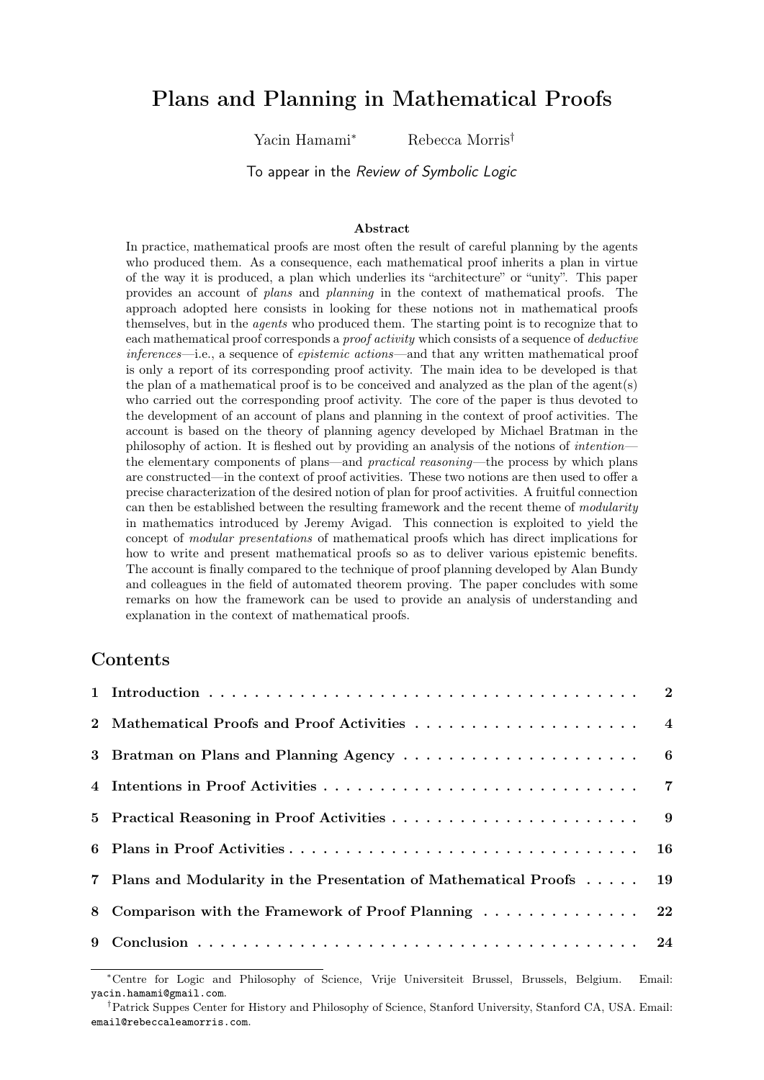# Plans and Planning in Mathematical Proofs

Yacin Hamami<sup>∗</sup> Rebecca Morris†

To appear in the Review of Symbolic Logic

#### Abstract

In practice, mathematical proofs are most often the result of careful planning by the agents who produced them. As a consequence, each mathematical proof inherits a plan in virtue of the way it is produced, a plan which underlies its "architecture" or "unity". This paper provides an account of plans and planning in the context of mathematical proofs. The approach adopted here consists in looking for these notions not in mathematical proofs themselves, but in the agents who produced them. The starting point is to recognize that to each mathematical proof corresponds a *proof activity* which consists of a sequence of *deductive* inferences—i.e., a sequence of epistemic actions—and that any written mathematical proof is only a report of its corresponding proof activity. The main idea to be developed is that the plan of a mathematical proof is to be conceived and analyzed as the plan of the agent(s) who carried out the corresponding proof activity. The core of the paper is thus devoted to the development of an account of plans and planning in the context of proof activities. The account is based on the theory of planning agency developed by Michael Bratman in the philosophy of action. It is fleshed out by providing an analysis of the notions of intention the elementary components of plans—and practical reasoning—the process by which plans are constructed—in the context of proof activities. These two notions are then used to offer a precise characterization of the desired notion of plan for proof activities. A fruitful connection can then be established between the resulting framework and the recent theme of modularity in mathematics introduced by Jeremy Avigad. This connection is exploited to yield the concept of modular presentations of mathematical proofs which has direct implications for how to write and present mathematical proofs so as to deliver various epistemic benefits. The account is finally compared to the technique of proof planning developed by Alan Bundy and colleagues in the field of automated theorem proving. The paper concludes with some remarks on how the framework can be used to provide an analysis of understanding and explanation in the context of mathematical proofs.

### Contents

| 7 Plans and Modularity in the Presentation of Mathematical Proofs 19 |  |
|----------------------------------------------------------------------|--|
| 8 Comparison with the Framework of Proof Planning  22                |  |
|                                                                      |  |

<sup>∗</sup>Centre for Logic and Philosophy of Science, Vrije Universiteit Brussel, Brussels, Belgium. Email: yacin.hamami@gmail.com.

<sup>†</sup>Patrick Suppes Center for History and Philosophy of Science, Stanford University, Stanford CA, USA. Email: email@rebeccaleamorris.com.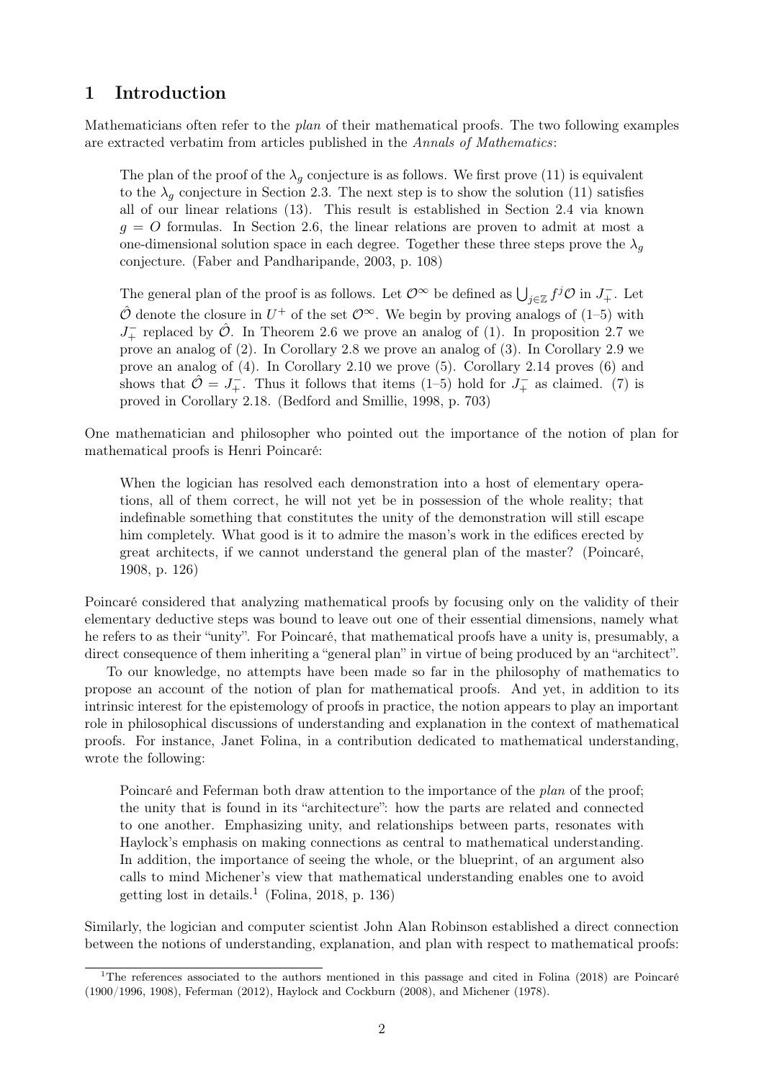## 1 Introduction

Mathematicians often refer to the *plan* of their mathematical proofs. The two following examples are extracted verbatim from articles published in the Annals of Mathematics:

The plan of the proof of the  $\lambda_q$  conjecture is as follows. We first prove (11) is equivalent to the  $\lambda_q$  conjecture in Section 2.3. The next step is to show the solution (11) satisfies all of our linear relations (13). This result is established in Section 2.4 via known  $g = O$  formulas. In Section 2.6, the linear relations are proven to admit at most a one-dimensional solution space in each degree. Together these three steps prove the  $\lambda_q$ conjecture. (Faber and Pandharipande, 2003, p. 108)

The general plan of the proof is as follows. Let  $\mathcal{O}^{\infty}$  be defined as  $\bigcup_{j\in\mathbb{Z}}f^j\mathcal{O}$  in  $J^-_+$ . Let  $\hat{\mathcal{O}}$  denote the closure in  $U^+$  of the set  $\mathcal{O}^{\infty}$ . We begin by proving analogs of (1–5) with  $J_+^-$  replaced by  $\hat{\mathcal{O}}$ . In Theorem 2.6 we prove an analog of (1). In proposition 2.7 we prove an analog of (2). In Corollary 2.8 we prove an analog of (3). In Corollary 2.9 we prove an analog of (4). In Corollary 2.10 we prove (5). Corollary 2.14 proves (6) and shows that  $\hat{\mathcal{O}} = J_+^{\dagger}$ . Thus it follows that items (1–5) hold for  $J_+^{\dagger}$  as claimed. (7) is proved in Corollary 2.18. (Bedford and Smillie, 1998, p. 703)

One mathematician and philosopher who pointed out the importance of the notion of plan for mathematical proofs is Henri Poincaré:

When the logician has resolved each demonstration into a host of elementary operations, all of them correct, he will not yet be in possession of the whole reality; that indefinable something that constitutes the unity of the demonstration will still escape him completely. What good is it to admire the mason's work in the edifices erected by great architects, if we cannot understand the general plan of the master? (Poincaré, 1908, p. 126)

Poincaré considered that analyzing mathematical proofs by focusing only on the validity of their elementary deductive steps was bound to leave out one of their essential dimensions, namely what he refers to as their "unity". For Poincaré, that mathematical proofs have a unity is, presumably, a direct consequence of them inheriting a "general plan" in virtue of being produced by an "architect".

To our knowledge, no attempts have been made so far in the philosophy of mathematics to propose an account of the notion of plan for mathematical proofs. And yet, in addition to its intrinsic interest for the epistemology of proofs in practice, the notion appears to play an important role in philosophical discussions of understanding and explanation in the context of mathematical proofs. For instance, Janet Folina, in a contribution dedicated to mathematical understanding, wrote the following:

Poincaré and Feferman both draw attention to the importance of the plan of the proof; the unity that is found in its "architecture": how the parts are related and connected to one another. Emphasizing unity, and relationships between parts, resonates with Haylock's emphasis on making connections as central to mathematical understanding. In addition, the importance of seeing the whole, or the blueprint, of an argument also calls to mind Michener's view that mathematical understanding enables one to avoid getting lost in details.<sup>1</sup> (Folina, 2018, p. 136)

Similarly, the logician and computer scientist John Alan Robinson established a direct connection between the notions of understanding, explanation, and plan with respect to mathematical proofs:

<sup>&</sup>lt;sup>1</sup>The references associated to the authors mentioned in this passage and cited in Folina (2018) are Poincaré (1900/1996, 1908), Feferman (2012), Haylock and Cockburn (2008), and Michener (1978).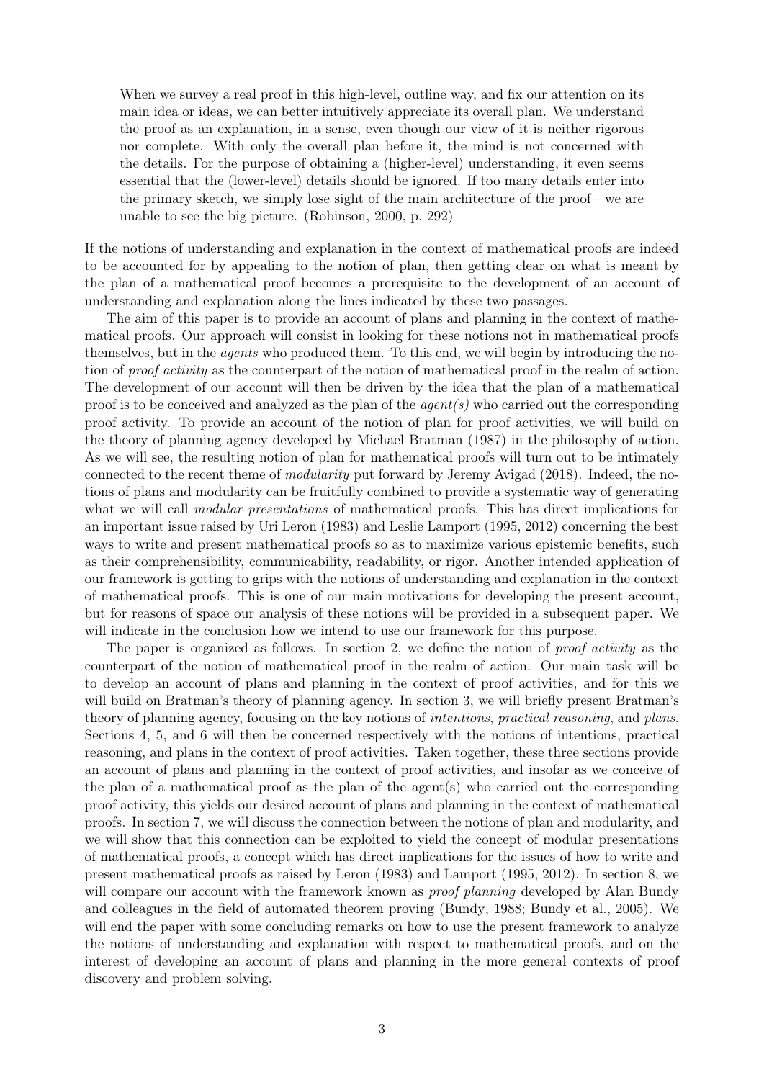When we survey a real proof in this high-level, outline way, and fix our attention on its main idea or ideas, we can better intuitively appreciate its overall plan. We understand the proof as an explanation, in a sense, even though our view of it is neither rigorous nor complete. With only the overall plan before it, the mind is not concerned with the details. For the purpose of obtaining a (higher-level) understanding, it even seems essential that the (lower-level) details should be ignored. If too many details enter into the primary sketch, we simply lose sight of the main architecture of the proof—we are unable to see the big picture. (Robinson, 2000, p. 292)

If the notions of understanding and explanation in the context of mathematical proofs are indeed to be accounted for by appealing to the notion of plan, then getting clear on what is meant by the plan of a mathematical proof becomes a prerequisite to the development of an account of understanding and explanation along the lines indicated by these two passages.

The aim of this paper is to provide an account of plans and planning in the context of mathematical proofs. Our approach will consist in looking for these notions not in mathematical proofs themselves, but in the agents who produced them. To this end, we will begin by introducing the notion of proof activity as the counterpart of the notion of mathematical proof in the realm of action. The development of our account will then be driven by the idea that the plan of a mathematical proof is to be conceived and analyzed as the plan of the  $agent(s)$  who carried out the corresponding proof activity. To provide an account of the notion of plan for proof activities, we will build on the theory of planning agency developed by Michael Bratman (1987) in the philosophy of action. As we will see, the resulting notion of plan for mathematical proofs will turn out to be intimately connected to the recent theme of modularity put forward by Jeremy Avigad (2018). Indeed, the notions of plans and modularity can be fruitfully combined to provide a systematic way of generating what we will call *modular presentations* of mathematical proofs. This has direct implications for an important issue raised by Uri Leron (1983) and Leslie Lamport (1995, 2012) concerning the best ways to write and present mathematical proofs so as to maximize various epistemic benefits, such as their comprehensibility, communicability, readability, or rigor. Another intended application of our framework is getting to grips with the notions of understanding and explanation in the context of mathematical proofs. This is one of our main motivations for developing the present account, but for reasons of space our analysis of these notions will be provided in a subsequent paper. We will indicate in the conclusion how we intend to use our framework for this purpose.

The paper is organized as follows. In section 2, we define the notion of *proof activity* as the counterpart of the notion of mathematical proof in the realm of action. Our main task will be to develop an account of plans and planning in the context of proof activities, and for this we will build on Bratman's theory of planning agency. In section 3, we will briefly present Bratman's theory of planning agency, focusing on the key notions of intentions, practical reasoning, and plans. Sections 4, 5, and 6 will then be concerned respectively with the notions of intentions, practical reasoning, and plans in the context of proof activities. Taken together, these three sections provide an account of plans and planning in the context of proof activities, and insofar as we conceive of the plan of a mathematical proof as the plan of the agent(s) who carried out the corresponding proof activity, this yields our desired account of plans and planning in the context of mathematical proofs. In section 7, we will discuss the connection between the notions of plan and modularity, and we will show that this connection can be exploited to yield the concept of modular presentations of mathematical proofs, a concept which has direct implications for the issues of how to write and present mathematical proofs as raised by Leron (1983) and Lamport (1995, 2012). In section 8, we will compare our account with the framework known as *proof planning* developed by Alan Bundy and colleagues in the field of automated theorem proving (Bundy, 1988; Bundy et al., 2005). We will end the paper with some concluding remarks on how to use the present framework to analyze the notions of understanding and explanation with respect to mathematical proofs, and on the interest of developing an account of plans and planning in the more general contexts of proof discovery and problem solving.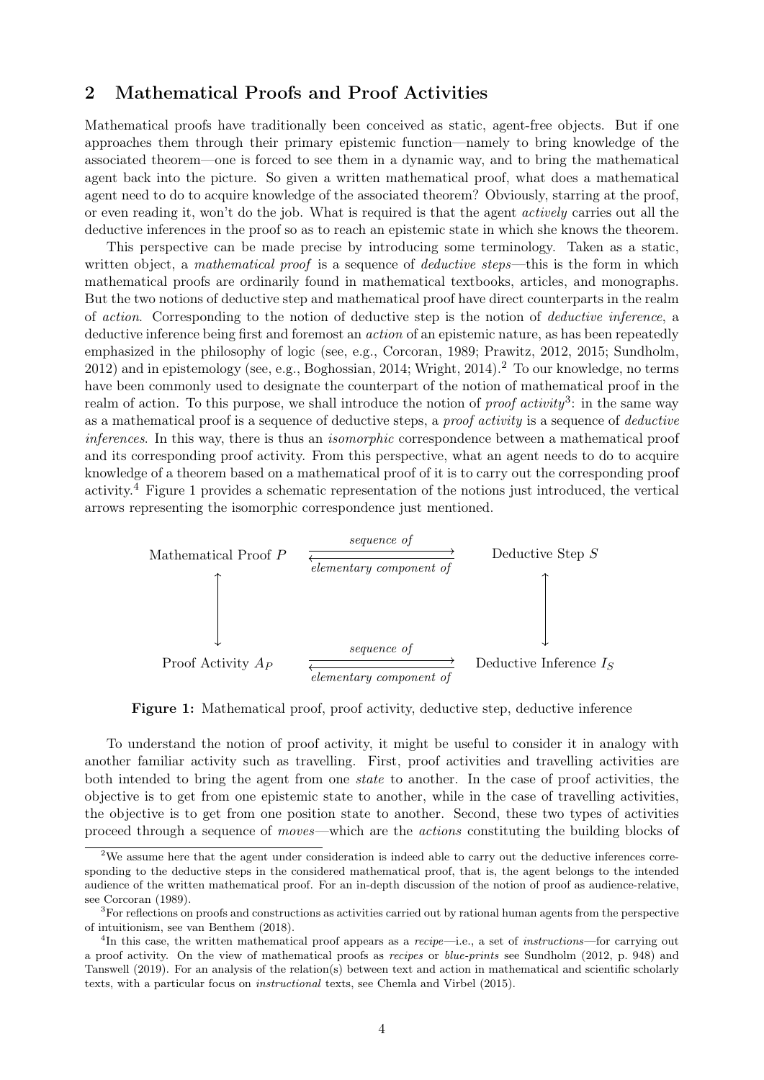## 2 Mathematical Proofs and Proof Activities

Mathematical proofs have traditionally been conceived as static, agent-free objects. But if one approaches them through their primary epistemic function—namely to bring knowledge of the associated theorem—one is forced to see them in a dynamic way, and to bring the mathematical agent back into the picture. So given a written mathematical proof, what does a mathematical agent need to do to acquire knowledge of the associated theorem? Obviously, starring at the proof, or even reading it, won't do the job. What is required is that the agent actively carries out all the deductive inferences in the proof so as to reach an epistemic state in which she knows the theorem.

This perspective can be made precise by introducing some terminology. Taken as a static, written object, a *mathematical proof* is a sequence of *deductive steps*—this is the form in which mathematical proofs are ordinarily found in mathematical textbooks, articles, and monographs. But the two notions of deductive step and mathematical proof have direct counterparts in the realm of action. Corresponding to the notion of deductive step is the notion of deductive inference, a deductive inference being first and foremost an *action* of an epistemic nature, as has been repeatedly emphasized in the philosophy of logic (see, e.g., Corcoran, 1989; Prawitz, 2012, 2015; Sundholm,  $2012$ ) and in epistemology (see, e.g., Boghossian,  $2014$ ; Wright,  $2014$ ).<sup>2</sup> To our knowledge, no terms have been commonly used to designate the counterpart of the notion of mathematical proof in the realm of action. To this purpose, we shall introduce the notion of *proof activity*<sup>3</sup>: in the same way as a mathematical proof is a sequence of deductive steps, a proof activity is a sequence of deductive inferences. In this way, there is thus an isomorphic correspondence between a mathematical proof and its corresponding proof activity. From this perspective, what an agent needs to do to acquire knowledge of a theorem based on a mathematical proof of it is to carry out the corresponding proof activity.<sup>4</sup> Figure 1 provides a schematic representation of the notions just introduced, the vertical arrows representing the isomorphic correspondence just mentioned.



Figure 1: Mathematical proof, proof activity, deductive step, deductive inference

To understand the notion of proof activity, it might be useful to consider it in analogy with another familiar activity such as travelling. First, proof activities and travelling activities are both intended to bring the agent from one state to another. In the case of proof activities, the objective is to get from one epistemic state to another, while in the case of travelling activities, the objective is to get from one position state to another. Second, these two types of activities proceed through a sequence of moves—which are the actions constituting the building blocks of

<sup>&</sup>lt;sup>2</sup>We assume here that the agent under consideration is indeed able to carry out the deductive inferences corresponding to the deductive steps in the considered mathematical proof, that is, the agent belongs to the intended audience of the written mathematical proof. For an in-depth discussion of the notion of proof as audience-relative, see Corcoran (1989).

<sup>&</sup>lt;sup>3</sup>For reflections on proofs and constructions as activities carried out by rational human agents from the perspective of intuitionism, see van Benthem (2018).

<sup>&</sup>lt;sup>4</sup>In this case, the written mathematical proof appears as a *recipe*—i.e., a set of *instructions*—for carrying out a proof activity. On the view of mathematical proofs as recipes or blue-prints see Sundholm (2012, p. 948) and Tanswell (2019). For an analysis of the relation(s) between text and action in mathematical and scientific scholarly texts, with a particular focus on instructional texts, see Chemla and Virbel (2015).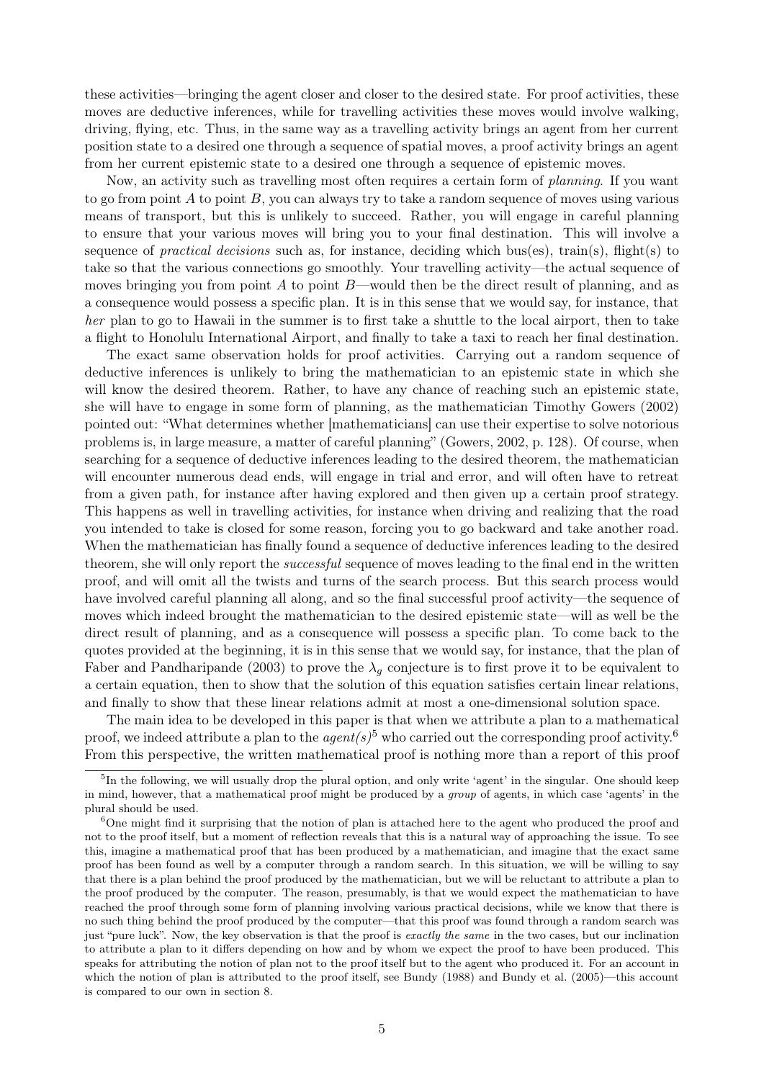these activities—bringing the agent closer and closer to the desired state. For proof activities, these moves are deductive inferences, while for travelling activities these moves would involve walking, driving, flying, etc. Thus, in the same way as a travelling activity brings an agent from her current position state to a desired one through a sequence of spatial moves, a proof activity brings an agent from her current epistemic state to a desired one through a sequence of epistemic moves.

Now, an activity such as travelling most often requires a certain form of planning. If you want to go from point  $A$  to point  $B$ , you can always try to take a random sequence of moves using various means of transport, but this is unlikely to succeed. Rather, you will engage in careful planning to ensure that your various moves will bring you to your final destination. This will involve a sequence of *practical decisions* such as, for instance, deciding which bus(es), train(s), flight(s) to take so that the various connections go smoothly. Your travelling activity—the actual sequence of moves bringing you from point  $A$  to point  $B$ —would then be the direct result of planning, and as a consequence would possess a specific plan. It is in this sense that we would say, for instance, that her plan to go to Hawaii in the summer is to first take a shuttle to the local airport, then to take a flight to Honolulu International Airport, and finally to take a taxi to reach her final destination.

The exact same observation holds for proof activities. Carrying out a random sequence of deductive inferences is unlikely to bring the mathematician to an epistemic state in which she will know the desired theorem. Rather, to have any chance of reaching such an epistemic state, she will have to engage in some form of planning, as the mathematician Timothy Gowers (2002) pointed out: "What determines whether [mathematicians] can use their expertise to solve notorious problems is, in large measure, a matter of careful planning" (Gowers, 2002, p. 128). Of course, when searching for a sequence of deductive inferences leading to the desired theorem, the mathematician will encounter numerous dead ends, will engage in trial and error, and will often have to retreat from a given path, for instance after having explored and then given up a certain proof strategy. This happens as well in travelling activities, for instance when driving and realizing that the road you intended to take is closed for some reason, forcing you to go backward and take another road. When the mathematician has finally found a sequence of deductive inferences leading to the desired theorem, she will only report the *successful* sequence of moves leading to the final end in the written proof, and will omit all the twists and turns of the search process. But this search process would have involved careful planning all along, and so the final successful proof activity—the sequence of moves which indeed brought the mathematician to the desired epistemic state—will as well be the direct result of planning, and as a consequence will possess a specific plan. To come back to the quotes provided at the beginning, it is in this sense that we would say, for instance, that the plan of Faber and Pandharipande (2003) to prove the  $\lambda_a$  conjecture is to first prove it to be equivalent to a certain equation, then to show that the solution of this equation satisfies certain linear relations, and finally to show that these linear relations admit at most a one-dimensional solution space.

The main idea to be developed in this paper is that when we attribute a plan to a mathematical proof, we indeed attribute a plan to the *agent*(s)<sup>5</sup> who carried out the corresponding proof activity.<sup>6</sup> From this perspective, the written mathematical proof is nothing more than a report of this proof

<sup>&</sup>lt;sup>5</sup>In the following, we will usually drop the plural option, and only write 'agent' in the singular. One should keep in mind, however, that a mathematical proof might be produced by a group of agents, in which case 'agents' in the plural should be used.

<sup>6</sup>One might find it surprising that the notion of plan is attached here to the agent who produced the proof and not to the proof itself, but a moment of reflection reveals that this is a natural way of approaching the issue. To see this, imagine a mathematical proof that has been produced by a mathematician, and imagine that the exact same proof has been found as well by a computer through a random search. In this situation, we will be willing to say that there is a plan behind the proof produced by the mathematician, but we will be reluctant to attribute a plan to the proof produced by the computer. The reason, presumably, is that we would expect the mathematician to have reached the proof through some form of planning involving various practical decisions, while we know that there is no such thing behind the proof produced by the computer—that this proof was found through a random search was just "pure luck". Now, the key observation is that the proof is exactly the same in the two cases, but our inclination to attribute a plan to it differs depending on how and by whom we expect the proof to have been produced. This speaks for attributing the notion of plan not to the proof itself but to the agent who produced it. For an account in which the notion of plan is attributed to the proof itself, see Bundy (1988) and Bundy et al. (2005)—this account is compared to our own in section 8.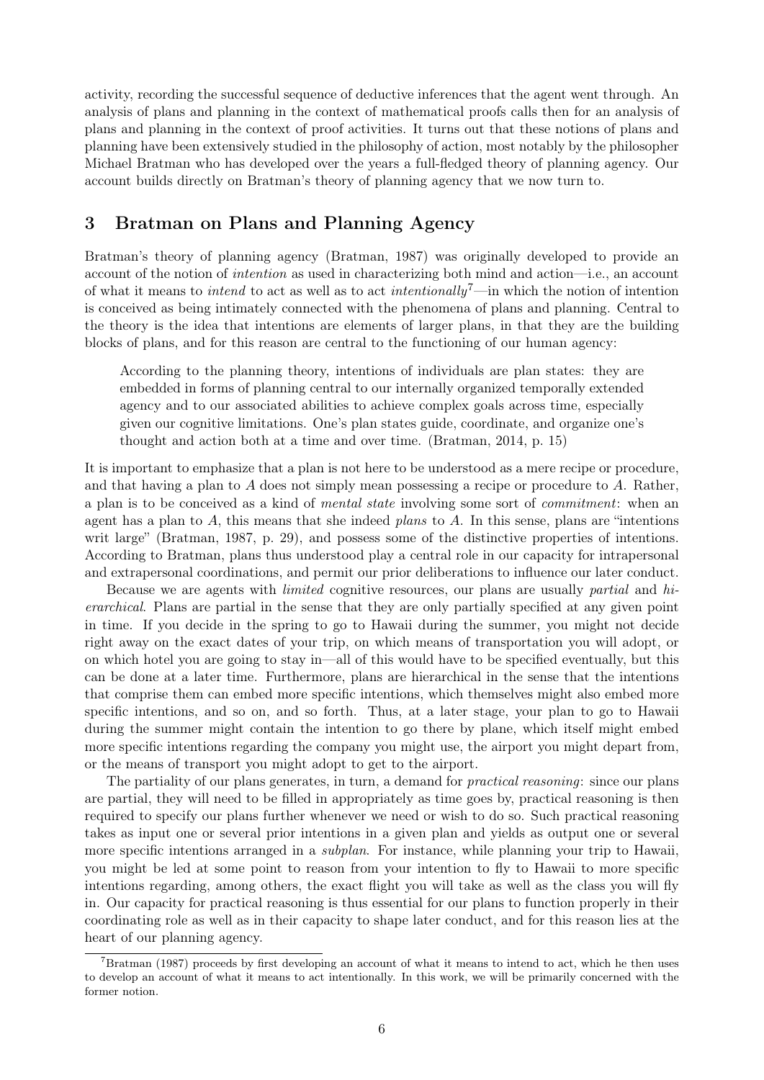activity, recording the successful sequence of deductive inferences that the agent went through. An analysis of plans and planning in the context of mathematical proofs calls then for an analysis of plans and planning in the context of proof activities. It turns out that these notions of plans and planning have been extensively studied in the philosophy of action, most notably by the philosopher Michael Bratman who has developed over the years a full-fledged theory of planning agency. Our account builds directly on Bratman's theory of planning agency that we now turn to.

## 3 Bratman on Plans and Planning Agency

Bratman's theory of planning agency (Bratman, 1987) was originally developed to provide an account of the notion of intention as used in characterizing both mind and action—i.e., an account of what it means to *intend* to act as well as to act *intentionally*<sup>7</sup>—in which the notion of intention is conceived as being intimately connected with the phenomena of plans and planning. Central to the theory is the idea that intentions are elements of larger plans, in that they are the building blocks of plans, and for this reason are central to the functioning of our human agency:

According to the planning theory, intentions of individuals are plan states: they are embedded in forms of planning central to our internally organized temporally extended agency and to our associated abilities to achieve complex goals across time, especially given our cognitive limitations. One's plan states guide, coordinate, and organize one's thought and action both at a time and over time. (Bratman, 2014, p. 15)

It is important to emphasize that a plan is not here to be understood as a mere recipe or procedure, and that having a plan to  $A$  does not simply mean possessing a recipe or procedure to  $A$ . Rather, a plan is to be conceived as a kind of mental state involving some sort of commitment: when an agent has a plan to  $A$ , this means that she indeed plans to  $A$ . In this sense, plans are "intentions" writ large" (Bratman, 1987, p. 29), and possess some of the distinctive properties of intentions. According to Bratman, plans thus understood play a central role in our capacity for intrapersonal and extrapersonal coordinations, and permit our prior deliberations to influence our later conduct.

Because we are agents with limited cognitive resources, our plans are usually partial and hierarchical. Plans are partial in the sense that they are only partially specified at any given point in time. If you decide in the spring to go to Hawaii during the summer, you might not decide right away on the exact dates of your trip, on which means of transportation you will adopt, or on which hotel you are going to stay in—all of this would have to be specified eventually, but this can be done at a later time. Furthermore, plans are hierarchical in the sense that the intentions that comprise them can embed more specific intentions, which themselves might also embed more specific intentions, and so on, and so forth. Thus, at a later stage, your plan to go to Hawaii during the summer might contain the intention to go there by plane, which itself might embed more specific intentions regarding the company you might use, the airport you might depart from, or the means of transport you might adopt to get to the airport.

The partiality of our plans generates, in turn, a demand for *practical reasoning*: since our plans are partial, they will need to be filled in appropriately as time goes by, practical reasoning is then required to specify our plans further whenever we need or wish to do so. Such practical reasoning takes as input one or several prior intentions in a given plan and yields as output one or several more specific intentions arranged in a *subplan*. For instance, while planning your trip to Hawaii, you might be led at some point to reason from your intention to fly to Hawaii to more specific intentions regarding, among others, the exact flight you will take as well as the class you will fly in. Our capacity for practical reasoning is thus essential for our plans to function properly in their coordinating role as well as in their capacity to shape later conduct, and for this reason lies at the heart of our planning agency.

<sup>7</sup>Bratman (1987) proceeds by first developing an account of what it means to intend to act, which he then uses to develop an account of what it means to act intentionally. In this work, we will be primarily concerned with the former notion.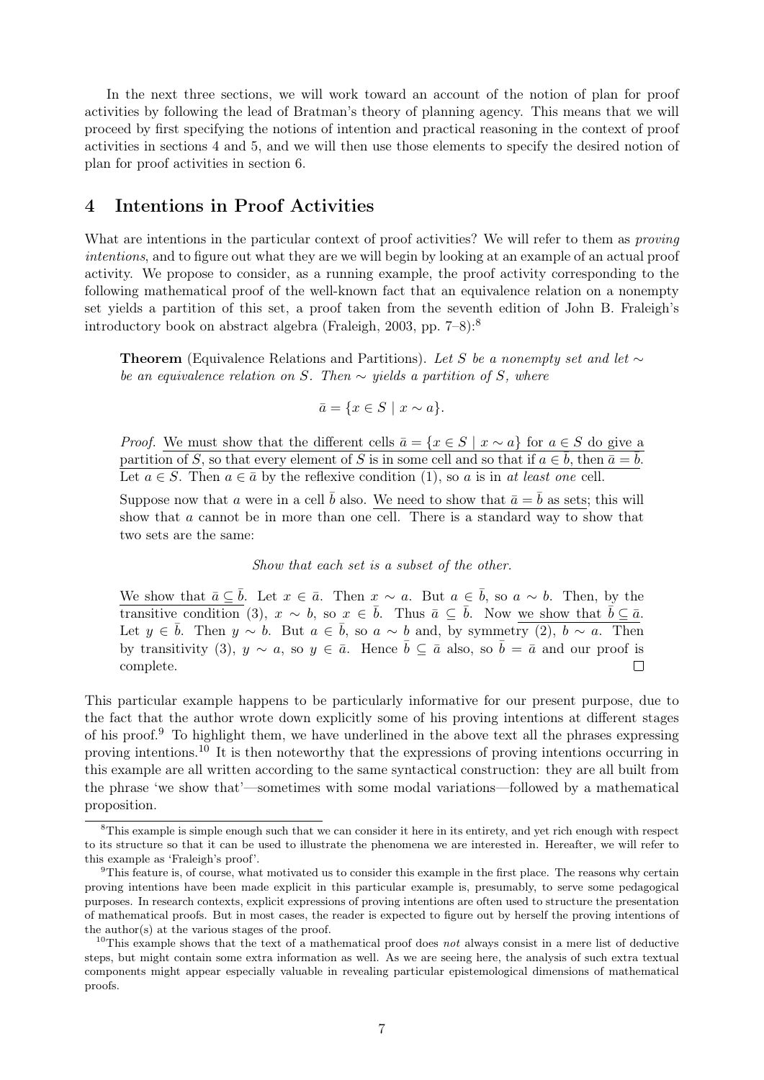In the next three sections, we will work toward an account of the notion of plan for proof activities by following the lead of Bratman's theory of planning agency. This means that we will proceed by first specifying the notions of intention and practical reasoning in the context of proof activities in sections 4 and 5, and we will then use those elements to specify the desired notion of plan for proof activities in section 6.

## 4 Intentions in Proof Activities

What are intentions in the particular context of proof activities? We will refer to them as *proving* intentions, and to figure out what they are we will begin by looking at an example of an actual proof activity. We propose to consider, as a running example, the proof activity corresponding to the following mathematical proof of the well-known fact that an equivalence relation on a nonempty set yields a partition of this set, a proof taken from the seventh edition of John B. Fraleigh's introductory book on abstract algebra (Fraleigh, 2003, pp. 7–8):<sup>8</sup>

Theorem (Equivalence Relations and Partitions). Let S be a nonempty set and let  $\sim$ be an equivalence relation on S. Then  $\sim$  yields a partition of S, where

$$
\bar{a} = \{ x \in S \mid x \sim a \}.
$$

*Proof.* We must show that the different cells  $\bar{a} = \{x \in S \mid x \sim a\}$  for  $a \in S$  do give a partition of S, so that every element of S is in some cell and so that if  $a \in \overline{b}$ , then  $\overline{a} = \overline{b}$ . Let  $a \in S$ . Then  $a \in \bar{a}$  by the reflexive condition (1), so a is in at least one cell.

Suppose now that a were in a cell  $\bar{b}$  also. We need to show that  $\bar{a}=\bar{b}$  as sets; this will show that a cannot be in more than one cell. There is a standard way to show that two sets are the same:

#### Show that each set is a subset of the other.

We show that  $\bar{a} \subseteq \bar{b}$ . Let  $x \in \bar{a}$ . Then  $x \sim a$ . But  $a \in \bar{b}$ , so  $a \sim b$ . Then, by the transitive condition (3),  $x \sim b$ , so  $x \in \bar{b}$ . Thus  $\bar{a} \subseteq \bar{b}$ . Now we show that  $\bar{b} \subseteq \bar{a}$ . Let  $y \in \bar{b}$ . Then  $y \sim b$ . But  $a \in \bar{b}$ , so  $a \sim b$  and, by symmetry (2),  $b \sim a$ . Then by transitivity (3),  $y \sim a$ , so  $y \in \bar{a}$ . Hence  $\bar{b} \subseteq \bar{a}$  also, so  $\bar{b} = \bar{a}$  and our proof is complete.  $\Box$ 

This particular example happens to be particularly informative for our present purpose, due to the fact that the author wrote down explicitly some of his proving intentions at different stages of his proof.<sup>9</sup> To highlight them, we have underlined in the above text all the phrases expressing proving intentions.<sup>10</sup> It is then noteworthy that the expressions of proving intentions occurring in this example are all written according to the same syntactical construction: they are all built from the phrase 'we show that'—sometimes with some modal variations—followed by a mathematical proposition.

<sup>8</sup>This example is simple enough such that we can consider it here in its entirety, and yet rich enough with respect to its structure so that it can be used to illustrate the phenomena we are interested in. Hereafter, we will refer to this example as 'Fraleigh's proof'.

<sup>9</sup>This feature is, of course, what motivated us to consider this example in the first place. The reasons why certain proving intentions have been made explicit in this particular example is, presumably, to serve some pedagogical purposes. In research contexts, explicit expressions of proving intentions are often used to structure the presentation of mathematical proofs. But in most cases, the reader is expected to figure out by herself the proving intentions of the author(s) at the various stages of the proof.

<sup>&</sup>lt;sup>10</sup>This example shows that the text of a mathematical proof does not always consist in a mere list of deductive steps, but might contain some extra information as well. As we are seeing here, the analysis of such extra textual components might appear especially valuable in revealing particular epistemological dimensions of mathematical proofs.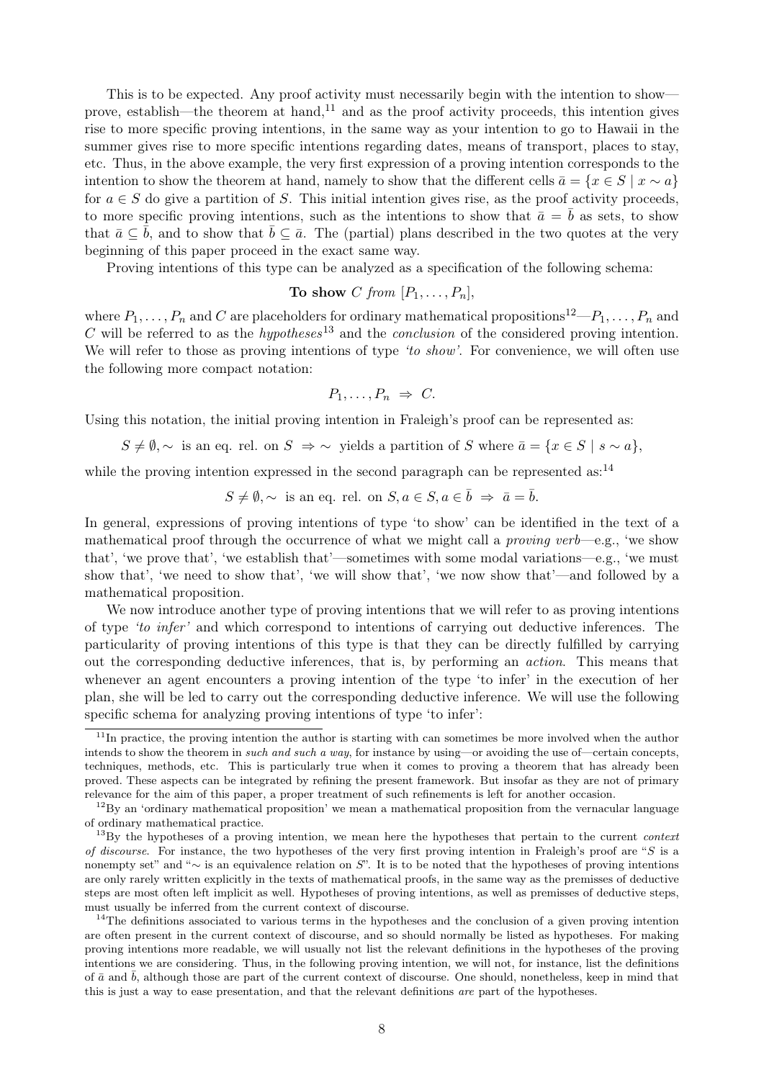This is to be expected. Any proof activity must necessarily begin with the intention to show prove, establish—the theorem at hand, $^{11}$  and as the proof activity proceeds, this intention gives rise to more specific proving intentions, in the same way as your intention to go to Hawaii in the summer gives rise to more specific intentions regarding dates, means of transport, places to stay, etc. Thus, in the above example, the very first expression of a proving intention corresponds to the intention to show the theorem at hand, namely to show that the different cells  $\bar{a} = \{x \in S \mid x \sim a\}$ for  $a \in S$  do give a partition of S. This initial intention gives rise, as the proof activity proceeds, to more specific proving intentions, such as the intentions to show that  $\bar{a}=\bar{b}$  as sets, to show that  $\bar{a}\subseteq \bar{b}$ , and to show that  $\bar{b}\subseteq \bar{a}$ . The (partial) plans described in the two quotes at the very beginning of this paper proceed in the exact same way.

Proving intentions of this type can be analyzed as a specification of the following schema:

#### To show C from  $[P_1, \ldots, P_n]$ ,

where  $P_1, \ldots, P_n$  and C are placeholders for ordinary mathematical propositions<sup>12</sup>— $P_1, \ldots, P_n$  and C will be referred to as the *hypotheses*<sup>13</sup> and the *conclusion* of the considered proving intention. We will refer to those as proving intentions of type 'to show'. For convenience, we will often use the following more compact notation:

$$
P_1, \ldots, P_n \Rightarrow C.
$$

Using this notation, the initial proving intention in Fraleigh's proof can be represented as:

 $S \neq \emptyset$ , ∼ is an eq. rel. on  $S \Rightarrow \sim$  yields a partition of S where  $\bar{a} = \{x \in S \mid s \sim a\},$ 

while the proving intention expressed in the second paragraph can be represented as:  $14$ 

 $S \neq \emptyset$ ,  $\sim$  is an eq. rel. on  $S, a \in S, a \in \overline{b} \Rightarrow \overline{a} = \overline{b}$ .

In general, expressions of proving intentions of type 'to show' can be identified in the text of a mathematical proof through the occurrence of what we might call a *proving verb*—e.g., 'we show that', 'we prove that', 'we establish that'—sometimes with some modal variations—e.g., 'we must show that', 'we need to show that', 'we will show that', 'we now show that'—and followed by a mathematical proposition.

We now introduce another type of proving intentions that we will refer to as proving intentions of type 'to infer' and which correspond to intentions of carrying out deductive inferences. The particularity of proving intentions of this type is that they can be directly fulfilled by carrying out the corresponding deductive inferences, that is, by performing an action. This means that whenever an agent encounters a proving intention of the type 'to infer' in the execution of her plan, she will be led to carry out the corresponding deductive inference. We will use the following specific schema for analyzing proving intentions of type 'to infer':

 $11$ In practice, the proving intention the author is starting with can sometimes be more involved when the author intends to show the theorem in *such and such a way*, for instance by using—or avoiding the use of—certain concepts, techniques, methods, etc. This is particularly true when it comes to proving a theorem that has already been proved. These aspects can be integrated by refining the present framework. But insofar as they are not of primary relevance for the aim of this paper, a proper treatment of such refinements is left for another occasion.

 $12\text{By an 'ordinary mathematical proposition' we mean a mathematical proposition from the vernacular language$ of ordinary mathematical practice.

 $13\text{By the hypotheses of a proving intention, we mean here the hypotheses that pertain to the current context.}$ of discourse. For instance, the two hypotheses of the very first proving intention in Fraleigh's proof are " $S$  is a nonempty set" and "∼ is an equivalence relation on S". It is to be noted that the hypotheses of proving intentions are only rarely written explicitly in the texts of mathematical proofs, in the same way as the premisses of deductive steps are most often left implicit as well. Hypotheses of proving intentions, as well as premisses of deductive steps, must usually be inferred from the current context of discourse.

<sup>&</sup>lt;sup>14</sup>The definitions associated to various terms in the hypotheses and the conclusion of a given proving intention are often present in the current context of discourse, and so should normally be listed as hypotheses. For making proving intentions more readable, we will usually not list the relevant definitions in the hypotheses of the proving intentions we are considering. Thus, in the following proving intention, we will not, for instance, list the definitions of  $\bar{a}$  and  $\bar{b}$ , although those are part of the current context of discourse. One should, nonetheless, keep in mind that this is just a way to ease presentation, and that the relevant definitions are part of the hypotheses.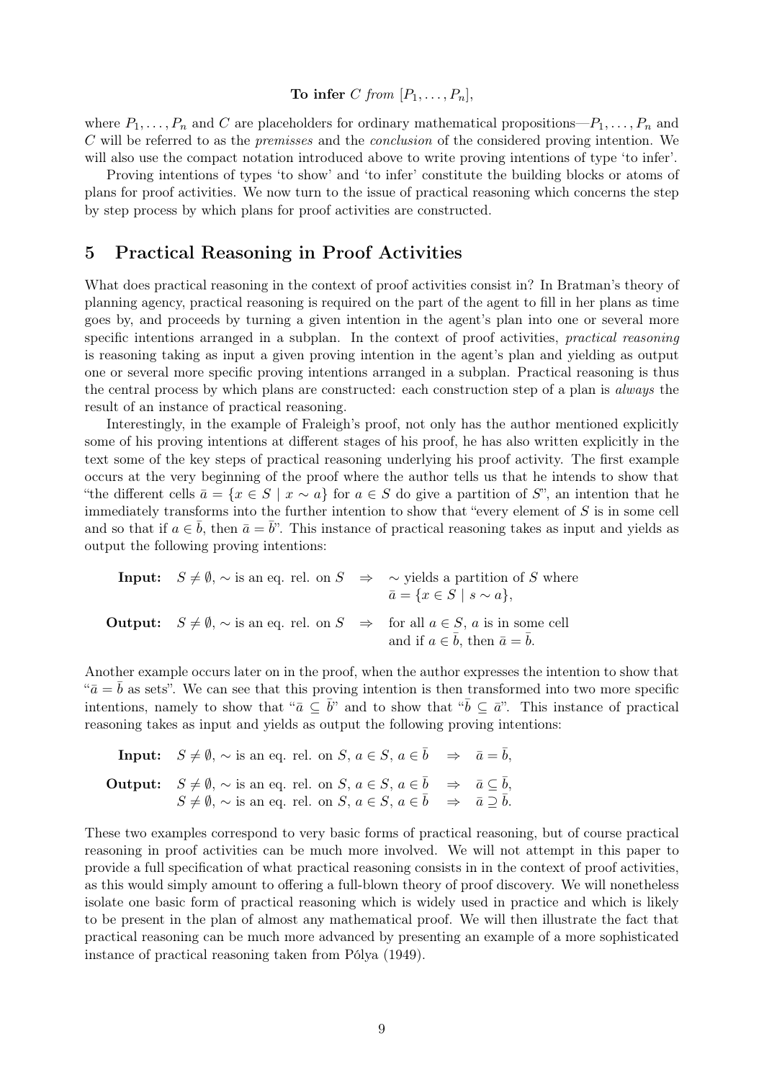### To infer C from  $[P_1, \ldots, P_n]$ ,

where  $P_1, \ldots, P_n$  and C are placeholders for ordinary mathematical propositions— $P_1, \ldots, P_n$  and C will be referred to as the premisses and the conclusion of the considered proving intention. We will also use the compact notation introduced above to write proving intentions of type 'to infer'.

Proving intentions of types 'to show' and 'to infer' constitute the building blocks or atoms of plans for proof activities. We now turn to the issue of practical reasoning which concerns the step by step process by which plans for proof activities are constructed.

### 5 Practical Reasoning in Proof Activities

What does practical reasoning in the context of proof activities consist in? In Bratman's theory of planning agency, practical reasoning is required on the part of the agent to fill in her plans as time goes by, and proceeds by turning a given intention in the agent's plan into one or several more specific intentions arranged in a subplan. In the context of proof activities, *practical reasoning* is reasoning taking as input a given proving intention in the agent's plan and yielding as output one or several more specific proving intentions arranged in a subplan. Practical reasoning is thus the central process by which plans are constructed: each construction step of a plan is always the result of an instance of practical reasoning.

Interestingly, in the example of Fraleigh's proof, not only has the author mentioned explicitly some of his proving intentions at different stages of his proof, he has also written explicitly in the text some of the key steps of practical reasoning underlying his proof activity. The first example occurs at the very beginning of the proof where the author tells us that he intends to show that "the different cells  $\bar{a} = \{x \in S \mid x \sim a\}$  for  $a \in S$  do give a partition of S", an intention that he immediately transforms into the further intention to show that "every element of S is in some cell and so that if  $a \in \bar{b}$ , then  $\bar{a} = \bar{b}$ ". This instance of practical reasoning takes as input and yields as output the following proving intentions:

**Input:**  $S \neq \emptyset$ ,  $\sim$  is an eq. rel. on  $S \Rightarrow \sim$  yields a partition of S where  $\bar{a} = \{x \in S \mid s \sim a\},\$ **Output:**  $S \neq \emptyset$ , ~ is an eq. rel. on  $S \Rightarrow$  for all  $a \in S$ , a is in some cell and if  $a \in \bar{b}$ , then  $\bar{a} = \bar{b}$ .

Another example occurs later on in the proof, when the author expresses the intention to show that " $\bar{a}=\bar{b}$  as sets". We can see that this proving intention is then transformed into two more specific intentions, namely to show that " $\bar{a} \subseteq \bar{b}$ " and to show that " $\bar{b} \subseteq \bar{a}$ ". This instance of practical reasoning takes as input and yields as output the following proving intentions:

**Input:**  $S \neq \emptyset$ ,  $\sim$  is an eq. rel. on  $S$ ,  $a \in S$ ,  $a \in \overline{b}$   $\Rightarrow a = \overline{b}$ . **Output:**  $S \neq \emptyset$ ,  $\sim$  is an eq. rel. on  $S$ ,  $a \in S$ ,  $a \in \overline{b}$   $\Rightarrow a \subseteq \overline{b}$ ,  $S \neq \emptyset$ , ~ is an eq. rel. on  $S, a \in S, a \in \bar{b} \Rightarrow \bar{a} \supseteq \bar{b}$ .

These two examples correspond to very basic forms of practical reasoning, but of course practical reasoning in proof activities can be much more involved. We will not attempt in this paper to provide a full specification of what practical reasoning consists in in the context of proof activities, as this would simply amount to offering a full-blown theory of proof discovery. We will nonetheless isolate one basic form of practical reasoning which is widely used in practice and which is likely to be present in the plan of almost any mathematical proof. We will then illustrate the fact that practical reasoning can be much more advanced by presenting an example of a more sophisticated instance of practical reasoning taken from Pólya (1949).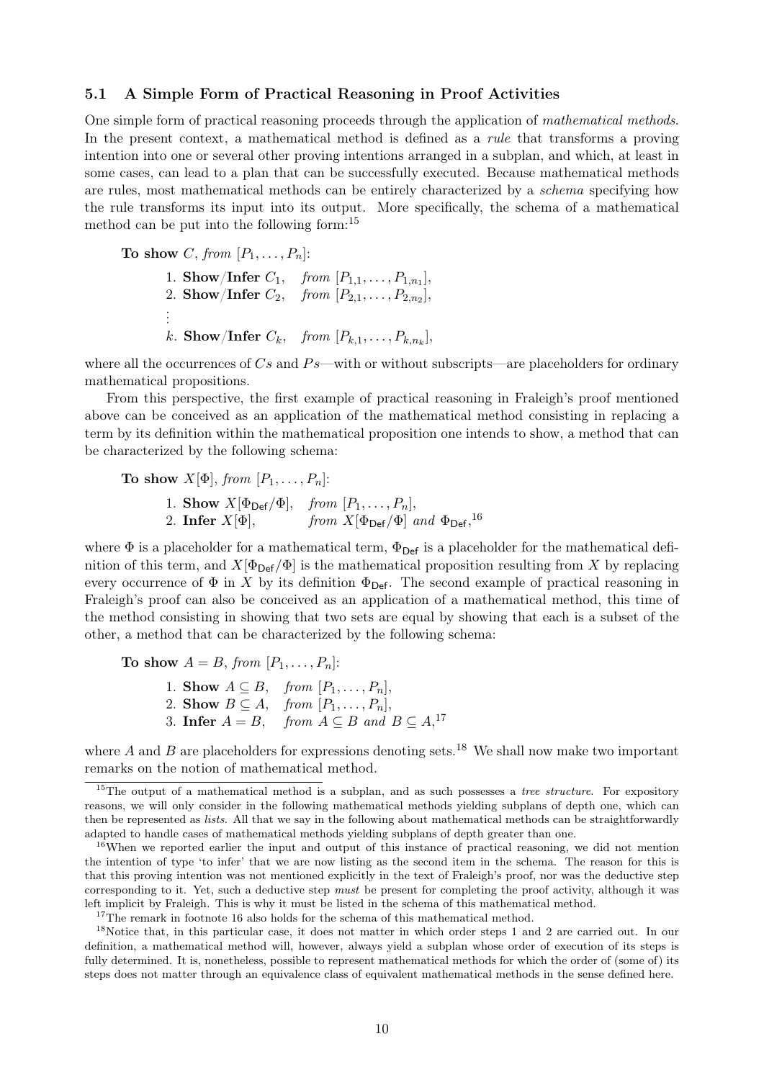#### 5.1 A Simple Form of Practical Reasoning in Proof Activities

One simple form of practical reasoning proceeds through the application of mathematical methods. In the present context, a mathematical method is defined as a *rule* that transforms a proving intention into one or several other proving intentions arranged in a subplan, and which, at least in some cases, can lead to a plan that can be successfully executed. Because mathematical methods are rules, most mathematical methods can be entirely characterized by a schema specifying how the rule transforms its input into its output. More specifically, the schema of a mathematical method can be put into the following form:<sup>15</sup>

```
To show C, from [P_1, \ldots, P_n]:
1. Show/Infer C_1, from [P_{1,1},...,P_{1,n_1}],
2. Show/Infer C_2, from [P_{2,1}, \ldots, P_{2,n_2}],.
.
.
k. Show/Infer C_k, from [P_{k,1},\ldots,P_{k,n_k}],
```
where all the occurrences of  $Cs$  and  $Ps$ —with or without subscripts—are placeholders for ordinary mathematical propositions.

From this perspective, the first example of practical reasoning in Fraleigh's proof mentioned above can be conceived as an application of the mathematical method consisting in replacing a term by its definition within the mathematical proposition one intends to show, a method that can be characterized by the following schema:

To show 
$$
X[\Phi]
$$
, from  $[P_1, \ldots, P_n]$ :  
\n1. Show  $X[\Phi_{\text{Def}}/\Phi]$ , from  $[P_1, \ldots, P_n]$ ,  
\n2. Infer  $X[\Phi]$ , from  $X[\Phi_{\text{Def}}/\Phi]$  and  $\Phi_{\text{Def}}$ ,<sup>16</sup>

where  $\Phi$  is a placeholder for a mathematical term,  $\Phi_{\text{Def}}$  is a placeholder for the mathematical definition of this term, and  $X[\Phi_{\text{Def}}/\Phi]$  is the mathematical proposition resulting from X by replacing every occurrence of  $\Phi$  in X by its definition  $\Phi_{\text{Def}}$ . The second example of practical reasoning in Fraleigh's proof can also be conceived as an application of a mathematical method, this time of the method consisting in showing that two sets are equal by showing that each is a subset of the other, a method that can be characterized by the following schema:

To show  $A = B$ , from  $[P_1, \ldots, P_n]$ :

1. Show  $A \subseteq B$ , from  $[P_1, \ldots, P_n]$ , 2. Show  $B \subseteq A$ , from  $[P_1, \ldots, P_n]$ , 3. Infer  $A = B$ , from  $A \subseteq B$  and  $B \subseteq A$ ,<sup>17</sup>

where A and B are placeholders for expressions denoting sets.<sup>18</sup> We shall now make two important remarks on the notion of mathematical method.

 $17$ The remark in footnote 16 also holds for the schema of this mathematical method.

<sup>&</sup>lt;sup>15</sup>The output of a mathematical method is a subplan, and as such possesses a *tree structure*. For expository reasons, we will only consider in the following mathematical methods yielding subplans of depth one, which can then be represented as lists. All that we say in the following about mathematical methods can be straightforwardly adapted to handle cases of mathematical methods yielding subplans of depth greater than one.

 $16$ When we reported earlier the input and output of this instance of practical reasoning, we did not mention the intention of type 'to infer' that we are now listing as the second item in the schema. The reason for this is that this proving intention was not mentioned explicitly in the text of Fraleigh's proof, nor was the deductive step corresponding to it. Yet, such a deductive step must be present for completing the proof activity, although it was left implicit by Fraleigh. This is why it must be listed in the schema of this mathematical method.

<sup>18</sup>Notice that, in this particular case, it does not matter in which order steps 1 and 2 are carried out. In our definition, a mathematical method will, however, always yield a subplan whose order of execution of its steps is fully determined. It is, nonetheless, possible to represent mathematical methods for which the order of (some of) its steps does not matter through an equivalence class of equivalent mathematical methods in the sense defined here.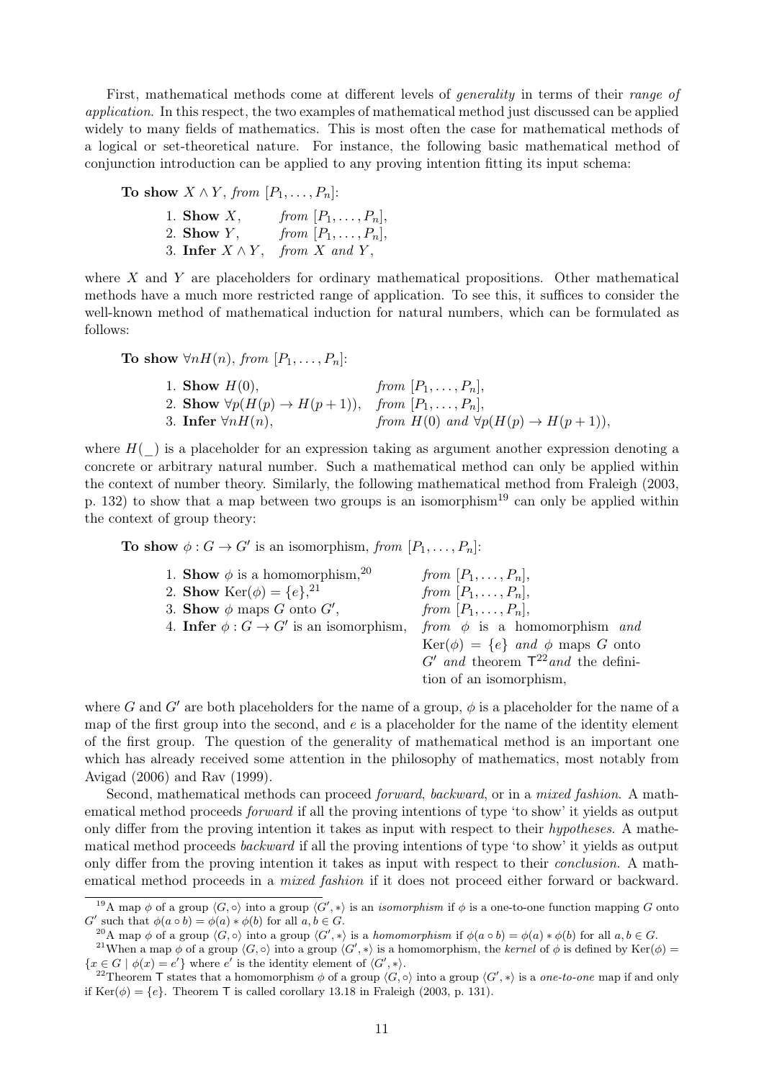First, mathematical methods come at different levels of *generality* in terms of their *range of* application. In this respect, the two examples of mathematical method just discussed can be applied widely to many fields of mathematics. This is most often the case for mathematical methods of a logical or set-theoretical nature. For instance, the following basic mathematical method of conjunction introduction can be applied to any proving intention fitting its input schema:

To show  $X \wedge Y$ , from  $[P_1, \ldots, P_n]$ :

| 1. Show $X$ ,                         | from $[P_1, \ldots, P_n],$ |
|---------------------------------------|----------------------------|
| 2. Show $Y$ ,                         | from $[P_1, \ldots, P_n],$ |
| 3. Infer $X \wedge Y$ , from X and Y, |                            |

where X and Y are placeholders for ordinary mathematical propositions. Other mathematical methods have a much more restricted range of application. To see this, it suffices to consider the well-known method of mathematical induction for natural numbers, which can be formulated as follows:

To show  $\forall n H(n)$ , from  $[P_1, \ldots, P_n]$ :

| 1. Show $H(0)$ ,                                                                | from $[P_1,\ldots,P_n],$                              |
|---------------------------------------------------------------------------------|-------------------------------------------------------|
| 2. Show $\forall p(H(p) \rightarrow H(p+1)), \text{ from } [P_1, \ldots, P_n],$ |                                                       |
| 3. Infer $\forall nH(n)$ ,                                                      | from $H(0)$ and $\forall p(H(p) \rightarrow H(p+1)),$ |

where  $H(\ )$  is a placeholder for an expression taking as argument another expression denoting a concrete or arbitrary natural number. Such a mathematical method can only be applied within the context of number theory. Similarly, the following mathematical method from Fraleigh (2003, p. 132) to show that a map between two groups is an isomorphism<sup>19</sup> can only be applied within the context of group theory:

To show  $\phi: G \to G'$  is an isomorphism, from  $[P_1, \ldots, P_n]$ :

| 1. Show $\phi$ is a homomorphism, <sup>20</sup> | from $[P_1,\ldots,P_n],$                   |
|-------------------------------------------------|--------------------------------------------|
| 2. Show $\text{Ker}(\phi) = \{e\}^{21}$         | from $[P_1, \ldots, P_n],$                 |
| 3. Show $\phi$ maps G onto G',                  | from $[P_1, \ldots, P_n],$                 |
| 4. Infer $\phi: G \to G'$ is an isomorphism,    | from $\phi$ is a homomorphism and          |
|                                                 | $Ker(\phi) = \{e\}$ and $\phi$ maps G onto |
|                                                 | $G'$ and theorem $T^{22}$ and the defini-  |
|                                                 | tion of an isomorphism,                    |
|                                                 |                                            |

where G and G' are both placeholders for the name of a group,  $\phi$  is a placeholder for the name of a map of the first group into the second, and  $e$  is a placeholder for the name of the identity element of the first group. The question of the generality of mathematical method is an important one which has already received some attention in the philosophy of mathematics, most notably from Avigad (2006) and Rav (1999).

Second, mathematical methods can proceed forward, backward, or in a mixed fashion. A mathematical method proceeds forward if all the proving intentions of type 'to show' it yields as output only differ from the proving intention it takes as input with respect to their hypotheses. A mathematical method proceeds backward if all the proving intentions of type 'to show' it yields as output only differ from the proving intention it takes as input with respect to their conclusion. A mathematical method proceeds in a *mixed fashion* if it does not proceed either forward or backward.

<sup>&</sup>lt;sup>19</sup>A map  $\phi$  of a group  $\langle G, \circ \rangle$  into a group  $\langle G', * \rangle$  is an *isomorphism* if  $\phi$  is a one-to-one function mapping G onto G' such that  $\phi(a \circ b) = \phi(a) * \phi(b)$  for all  $a, b \in G$ .

<sup>&</sup>lt;sup>20</sup>A map  $\phi$  of a group  $\langle G, \circ \rangle$  into a group  $\langle G', * \rangle$  is a homomorphism if  $\phi(a \circ b) = \phi(a) * \phi(b)$  for all  $a, b \in G$ .

<sup>&</sup>lt;sup>21</sup>When a map  $\phi$  of a group  $\langle G, \circ \rangle$  into a group  $\langle G', * \rangle$  is a homomorphism, the kernel of  $\phi$  is defined by Ker $(\phi)$  ${x \in G \mid \phi(x) = e'}$  where e' is the identity element of  $\langle G', * \rangle$ .

<sup>&</sup>lt;sup>22</sup>Theorem T states that a homomorphism  $\phi$  of a group  $\langle G, \circ \rangle$  into a group  $\langle G', * \rangle$  is a *one-to-one* map if and only if  $Ker(\phi) = \{e\}$ . Theorem T is called corollary 13.18 in Fraleigh (2003, p. 131).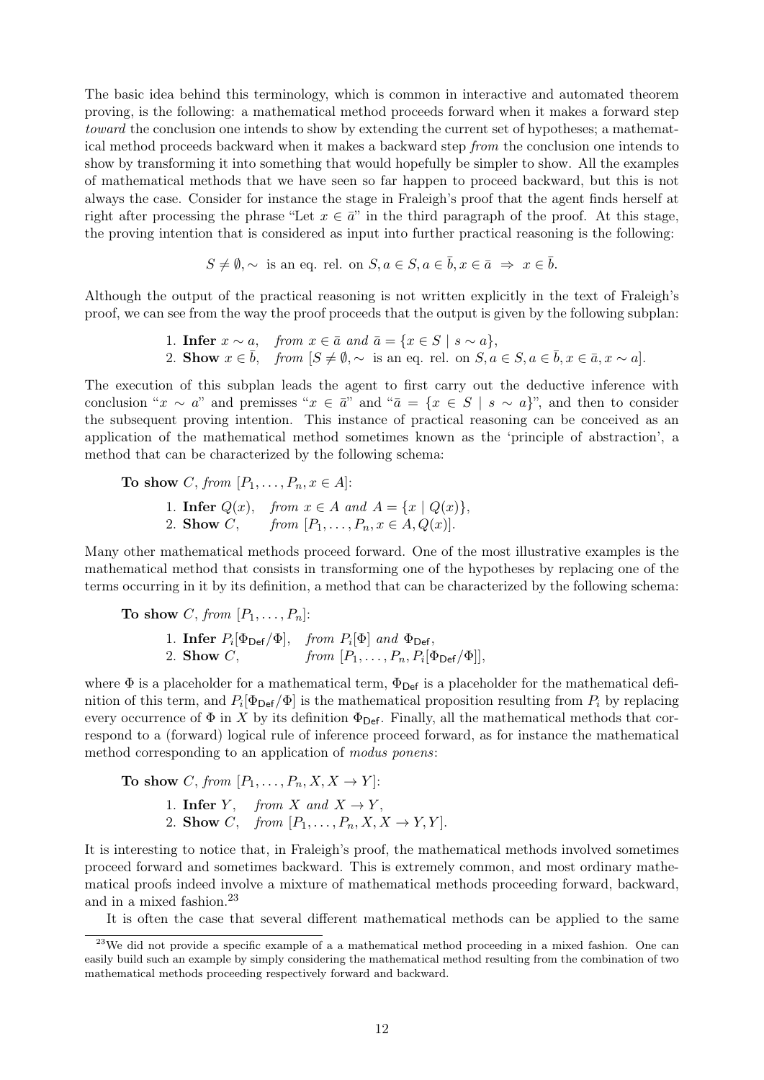The basic idea behind this terminology, which is common in interactive and automated theorem proving, is the following: a mathematical method proceeds forward when it makes a forward step toward the conclusion one intends to show by extending the current set of hypotheses; a mathematical method proceeds backward when it makes a backward step from the conclusion one intends to show by transforming it into something that would hopefully be simpler to show. All the examples of mathematical methods that we have seen so far happen to proceed backward, but this is not always the case. Consider for instance the stage in Fraleigh's proof that the agent finds herself at right after processing the phrase "Let  $x \in \bar{a}$ " in the third paragraph of the proof. At this stage, the proving intention that is considered as input into further practical reasoning is the following:

$$
S \neq \emptyset, \sim \text{ is an eq. rel. on } S, a \in S, a \in \bar{b}, x \in \bar{a} \implies x \in \bar{b}.
$$

Although the output of the practical reasoning is not written explicitly in the text of Fraleigh's proof, we can see from the way the proof proceeds that the output is given by the following subplan:

\n- 1. **Infer** 
$$
x \sim a
$$
, from  $x \in \bar{a}$  and  $\bar{a} = \{x \in S \mid s \sim a\}$ ,
\n- 2. **Show**  $x \in \bar{b}$ , from  $[S \neq \emptyset, \sim \text{ is an eq. rel. on } S, a \in S, a \in \bar{b}, x \in \bar{a}, x \sim a]$ .
\n

The execution of this subplan leads the agent to first carry out the deductive inference with conclusion " $x \sim a$ " and premisses " $x \in \bar{a}$ " and " $\bar{a} = \{x \in S \mid s \sim a\}$ ", and then to consider the subsequent proving intention. This instance of practical reasoning can be conceived as an application of the mathematical method sometimes known as the 'principle of abstraction', a method that can be characterized by the following schema:

To show C, from 
$$
[P_1, \ldots, P_n, x \in A]
$$
: \n1. **Infer**  $Q(x)$ , from  $x \in A$  and  $A = \{x \mid Q(x)\}$ , \n2. **Show** C, from  $[P_1, \ldots, P_n, x \in A, Q(x)]$ .

Many other mathematical methods proceed forward. One of the most illustrative examples is the mathematical method that consists in transforming one of the hypotheses by replacing one of the terms occurring in it by its definition, a method that can be characterized by the following schema:

**To show** 
$$
C
$$
, from  $[P_1, \ldots, P_n]$ :  
\n1. **Infer**  $P_i[\Phi_{\text{Def}}/\Phi]$ , from  $P_i[\Phi]$  and  $\Phi_{\text{Def}}$ ,  
\n2. **Show**  $C$ , from  $[P_1, \ldots, P_n, P_i[\Phi_{\text{Def}}/\Phi]]$ ,

where  $\Phi$  is a placeholder for a mathematical term,  $\Phi_{\text{Def}}$  is a placeholder for the mathematical definition of this term, and  $P_i[\Phi_{\text{Def}}/\Phi]$  is the mathematical proposition resulting from  $P_i$  by replacing every occurrence of  $\Phi$  in X by its definition  $\Phi_{\text{Def}}$ . Finally, all the mathematical methods that correspond to a (forward) logical rule of inference proceed forward, as for instance the mathematical method corresponding to an application of modus ponens:

To show 
$$
C
$$
, from  $[P_1, \ldots, P_n, X, X \rightarrow Y]$ :

\n1. Infer  $Y$ , from  $X$  and  $X \rightarrow Y$ ,

\n2. Show  $C$ , from  $[P_1, \ldots, P_n, X, X \rightarrow Y, Y]$ .

It is interesting to notice that, in Fraleigh's proof, the mathematical methods involved sometimes proceed forward and sometimes backward. This is extremely common, and most ordinary mathematical proofs indeed involve a mixture of mathematical methods proceeding forward, backward, and in a mixed fashion.<sup>23</sup>

It is often the case that several different mathematical methods can be applied to the same

<sup>&</sup>lt;sup>23</sup>We did not provide a specific example of a a mathematical method proceeding in a mixed fashion. One can easily build such an example by simply considering the mathematical method resulting from the combination of two mathematical methods proceeding respectively forward and backward.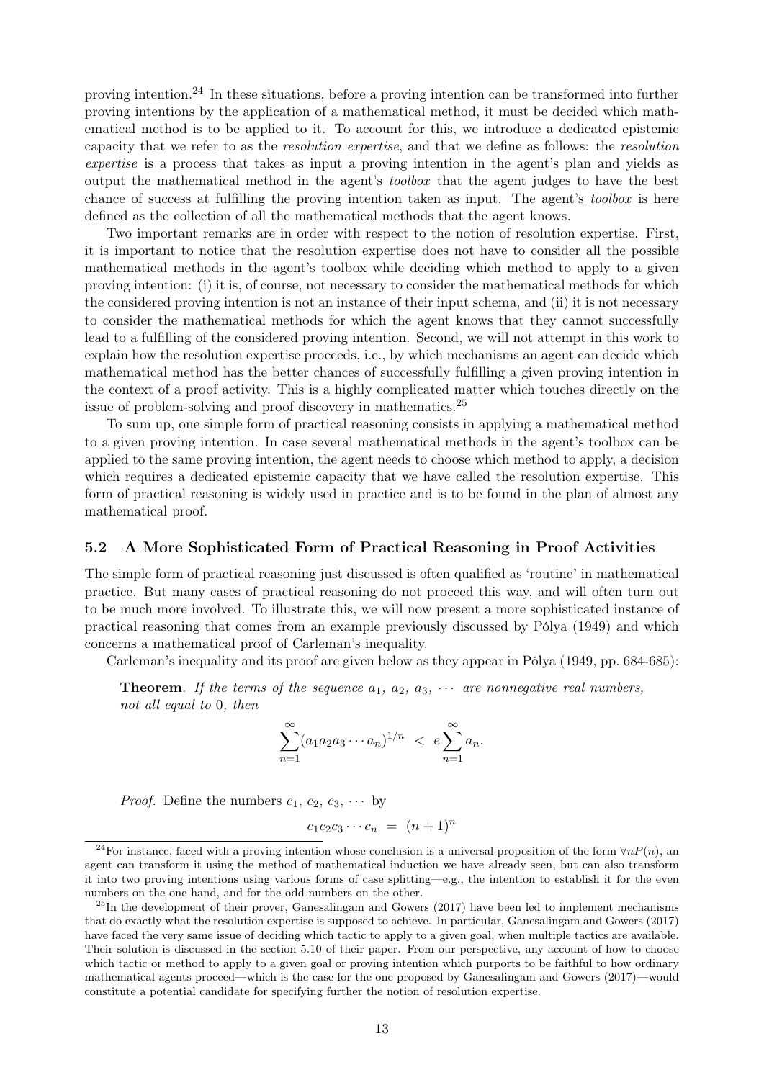proving intention.<sup>24</sup> In these situations, before a proving intention can be transformed into further proving intentions by the application of a mathematical method, it must be decided which mathematical method is to be applied to it. To account for this, we introduce a dedicated epistemic capacity that we refer to as the resolution expertise, and that we define as follows: the resolution expertise is a process that takes as input a proving intention in the agent's plan and yields as output the mathematical method in the agent's toolbox that the agent judges to have the best chance of success at fulfilling the proving intention taken as input. The agent's  $to \infty$  is here defined as the collection of all the mathematical methods that the agent knows.

Two important remarks are in order with respect to the notion of resolution expertise. First, it is important to notice that the resolution expertise does not have to consider all the possible mathematical methods in the agent's toolbox while deciding which method to apply to a given proving intention: (i) it is, of course, not necessary to consider the mathematical methods for which the considered proving intention is not an instance of their input schema, and (ii) it is not necessary to consider the mathematical methods for which the agent knows that they cannot successfully lead to a fulfilling of the considered proving intention. Second, we will not attempt in this work to explain how the resolution expertise proceeds, i.e., by which mechanisms an agent can decide which mathematical method has the better chances of successfully fulfilling a given proving intention in the context of a proof activity. This is a highly complicated matter which touches directly on the issue of problem-solving and proof discovery in mathematics.<sup>25</sup>

To sum up, one simple form of practical reasoning consists in applying a mathematical method to a given proving intention. In case several mathematical methods in the agent's toolbox can be applied to the same proving intention, the agent needs to choose which method to apply, a decision which requires a dedicated epistemic capacity that we have called the resolution expertise. This form of practical reasoning is widely used in practice and is to be found in the plan of almost any mathematical proof.

#### 5.2 A More Sophisticated Form of Practical Reasoning in Proof Activities

The simple form of practical reasoning just discussed is often qualified as 'routine' in mathematical practice. But many cases of practical reasoning do not proceed this way, and will often turn out to be much more involved. To illustrate this, we will now present a more sophisticated instance of practical reasoning that comes from an example previously discussed by Pólya (1949) and which concerns a mathematical proof of Carleman's inequality.

Carleman's inequality and its proof are given below as they appear in Pólya (1949, pp. 684-685):

**Theorem.** If the terms of the sequence  $a_1, a_2, a_3, \cdots$  are nonnegative real numbers, not all equal to 0, then

$$
\sum_{n=1}^{\infty} (a_1 a_2 a_3 \cdots a_n)^{1/n} < e \sum_{n=1}^{\infty} a_n.
$$

*Proof.* Define the numbers  $c_1, c_2, c_3, \cdots$  by

$$
c_1c_2c_3\cdots c_n = (n+1)^n
$$

<sup>&</sup>lt;sup>24</sup>For instance, faced with a proving intention whose conclusion is a universal proposition of the form  $\forall nP(n)$ , an agent can transform it using the method of mathematical induction we have already seen, but can also transform it into two proving intentions using various forms of case splitting—e.g., the intention to establish it for the even numbers on the one hand, and for the odd numbers on the other.

 $^{25}$ In the development of their prover, Ganesalingam and Gowers (2017) have been led to implement mechanisms that do exactly what the resolution expertise is supposed to achieve. In particular, Ganesalingam and Gowers (2017) have faced the very same issue of deciding which tactic to apply to a given goal, when multiple tactics are available. Their solution is discussed in the section 5.10 of their paper. From our perspective, any account of how to choose which tactic or method to apply to a given goal or proving intention which purports to be faithful to how ordinary mathematical agents proceed—which is the case for the one proposed by Ganesalingam and Gowers (2017)—would constitute a potential candidate for specifying further the notion of resolution expertise.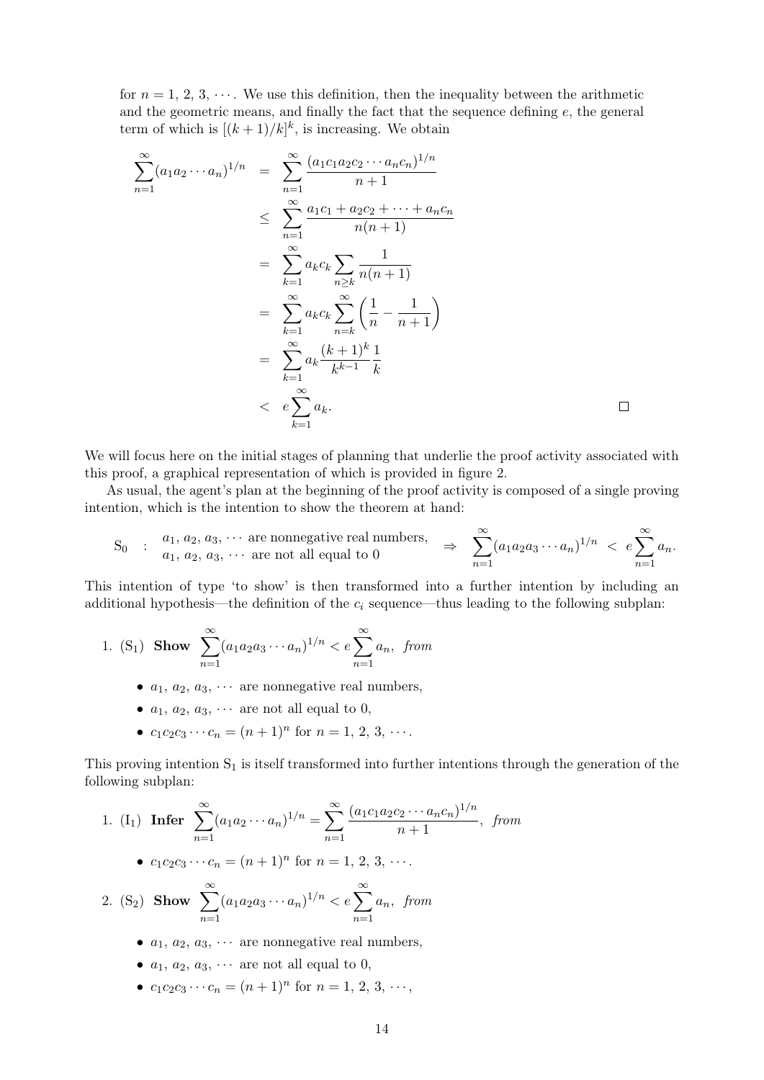for  $n = 1, 2, 3, \cdots$ . We use this definition, then the inequality between the arithmetic and the geometric means, and finally the fact that the sequence defining e, the general term of which is  $[(k+1)/k]^k$ , is increasing. We obtain

$$
\sum_{n=1}^{\infty} (a_1 a_2 \cdots a_n)^{1/n} = \sum_{n=1}^{\infty} \frac{(a_1 c_1 a_2 c_2 \cdots a_n c_n)^{1/n}}{n+1}
$$
  
\n
$$
\leq \sum_{n=1}^{\infty} \frac{a_1 c_1 + a_2 c_2 + \cdots + a_n c_n}{n(n+1)}
$$
  
\n
$$
= \sum_{k=1}^{\infty} a_k c_k \sum_{n \geq k} \frac{1}{n(n+1)}
$$
  
\n
$$
= \sum_{k=1}^{\infty} a_k c_k \sum_{n=k}^{\infty} \left(\frac{1}{n} - \frac{1}{n+1}\right)
$$
  
\n
$$
= \sum_{k=1}^{\infty} a_k \frac{(k+1)^k}{k^{k-1}} \frac{1}{k}
$$
  
\n
$$
< e \sum_{k=1}^{\infty} a_k.
$$

We will focus here on the initial stages of planning that underlie the proof activity associated with this proof, a graphical representation of which is provided in figure 2.

As usual, the agent's plan at the beginning of the proof activity is composed of a single proving intention, which is the intention to show the theorem at hand:

$$
S_0 : a_1, a_2, a_3, \cdots \text{ are nonnegative real numbers, } \Rightarrow \sum_{n=1}^{\infty} (a_1 a_2 a_3 \cdots a_n)^{1/n} < e \sum_{n=1}^{\infty} a_n.
$$

This intention of type 'to show' is then transformed into a further intention by including an additional hypothesis—the definition of the  $c_i$  sequence—thus leading to the following subplan:

1. (S<sub>1</sub>) Show 
$$
\sum_{n=1}^{\infty} (a_1 a_2 a_3 \cdots a_n)^{1/n} < e \sum_{n=1}^{\infty} a_n, \text{ from}
$$

- $a_1, a_2, a_3, \cdots$  are nonnegative real numbers,
- $a_1, a_2, a_3, \cdots$  are not all equal to 0,
- $c_1c_2c_3\cdots c_n = (n+1)^n$  for  $n = 1, 2, 3, \cdots$ .

This proving intention  $S_1$  is itself transformed into further intentions through the generation of the following subplan:

1. (I<sub>1</sub>) **Infer** 
$$
\sum_{n=1}^{\infty} (a_1 a_2 \cdots a_n)^{1/n} = \sum_{n=1}^{\infty} \frac{(a_1 c_1 a_2 c_2 \cdots a_n c_n)^{1/n}}{n+1}, \text{ from}
$$
  
\n•  $c_1 c_2 c_3 \cdots c_n = (n+1)^n \text{ for } n = 1, 2, 3, \cdots$ .  
\n2. (S<sub>2</sub>) **Show** 
$$
\sum_{n=1}^{\infty} (a_1 a_2 a_3 \cdots a_n)^{1/n} < e \sum_{n=1}^{\infty} a_n, \text{ from}
$$
  
\n•  $a_1, a_2, a_3, \cdots \text{ are nonnegative real numbers},$ 

- $a_1, a_2, a_3, \cdots$  are not all equal to 0,
- $c_1c_2c_3\cdots c_n = (n+1)^n$  for  $n = 1, 2, 3, \cdots$ ,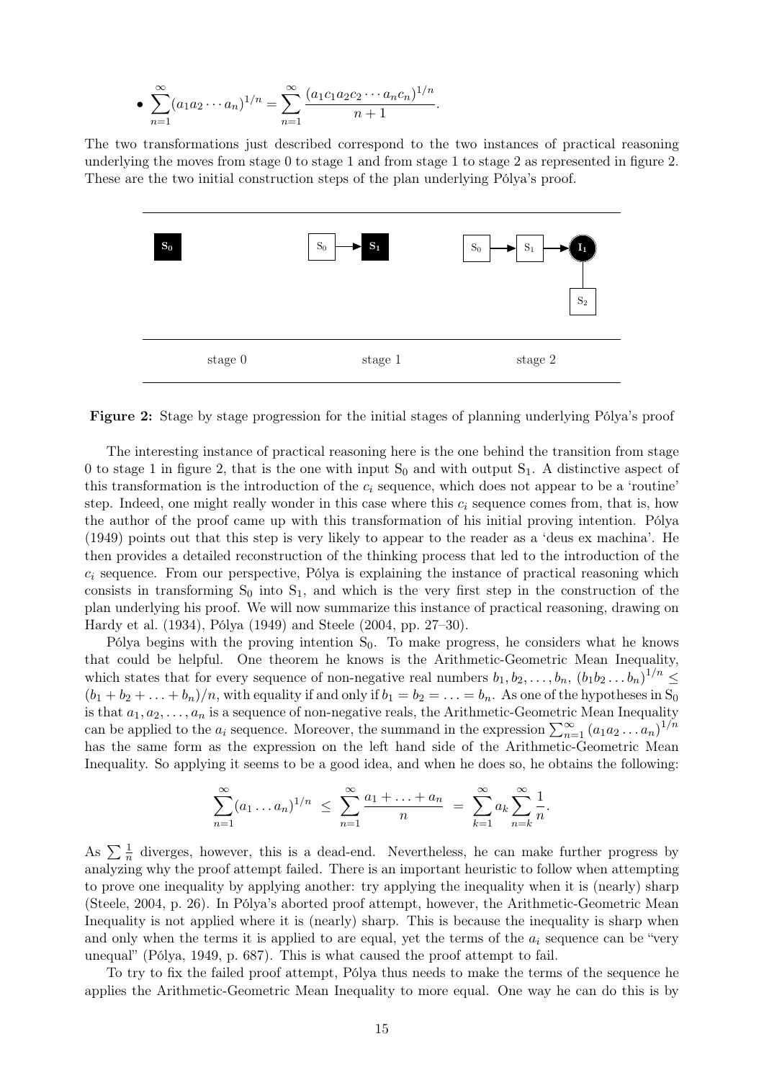• 
$$
\sum_{n=1}^{\infty} (a_1 a_2 \cdots a_n)^{1/n} = \sum_{n=1}^{\infty} \frac{(a_1 c_1 a_2 c_2 \cdots a_n c_n)^{1/n}}{n+1}.
$$

The two transformations just described correspond to the two instances of practical reasoning underlying the moves from stage 0 to stage 1 and from stage 1 to stage 2 as represented in figure 2. These are the two initial construction steps of the plan underlying Pólya's proof.



Figure 2: Stage by stage progression for the initial stages of planning underlying Pólya's proof

The interesting instance of practical reasoning here is the one behind the transition from stage 0 to stage 1 in figure 2, that is the one with input  $S_0$  and with output  $S_1$ . A distinctive aspect of this transformation is the introduction of the  $c_i$  sequence, which does not appear to be a 'routine' step. Indeed, one might really wonder in this case where this  $c_i$  sequence comes from, that is, how the author of the proof came up with this transformation of his initial proving intention. Pólya (1949) points out that this step is very likely to appear to the reader as a 'deus ex machina'. He then provides a detailed reconstruction of the thinking process that led to the introduction of the  $c_i$  sequence. From our perspective, Pólya is explaining the instance of practical reasoning which consists in transforming  $S_0$  into  $S_1$ , and which is the very first step in the construction of the plan underlying his proof. We will now summarize this instance of practical reasoning, drawing on Hardy et al. (1934), Pólya (1949) and Steele (2004, pp. 27–30).

Pólya begins with the proving intention  $S_0$ . To make progress, he considers what he knows that could be helpful. One theorem he knows is the Arithmetic-Geometric Mean Inequality, which states that for every sequence of non-negative real numbers  $b_1, b_2, \ldots, b_n, (b_1b_2 \ldots b_n)^{1/n} \leq$  $(b_1 + b_2 + \ldots + b_n)/n$ , with equality if and only if  $b_1 = b_2 = \ldots = b_n$ . As one of the hypotheses in S<sub>0</sub> is that  $a_1, a_2, \ldots, a_n$  is a sequence of non-negative reals, the Arithmetic-Geometric Mean Inequality can be applied to the  $a_i$  sequence. Moreover, the summand in the expression  $\sum_{n=1}^{\infty} (a_1 a_2 \ldots a_n)^{1/n}$ has the same form as the expression on the left hand side of the Arithmetic-Geometric Mean Inequality. So applying it seems to be a good idea, and when he does so, he obtains the following:

$$
\sum_{n=1}^{\infty} (a_1 \dots a_n)^{1/n} \leq \sum_{n=1}^{\infty} \frac{a_1 + \dots + a_n}{n} = \sum_{k=1}^{\infty} a_k \sum_{n=k}^{\infty} \frac{1}{n}.
$$

As  $\sum \frac{1}{n}$  diverges, however, this is a dead-end. Nevertheless, he can make further progress by analyzing why the proof attempt failed. There is an important heuristic to follow when attempting to prove one inequality by applying another: try applying the inequality when it is (nearly) sharp (Steele, 2004, p. 26). In Pólya's aborted proof attempt, however, the Arithmetic-Geometric Mean Inequality is not applied where it is (nearly) sharp. This is because the inequality is sharp when and only when the terms it is applied to are equal, yet the terms of the  $a_i$  sequence can be "very unequal" (Pólya, 1949, p. 687). This is what caused the proof attempt to fail.

To try to fix the failed proof attempt, Pólya thus needs to make the terms of the sequence he applies the Arithmetic-Geometric Mean Inequality to more equal. One way he can do this is by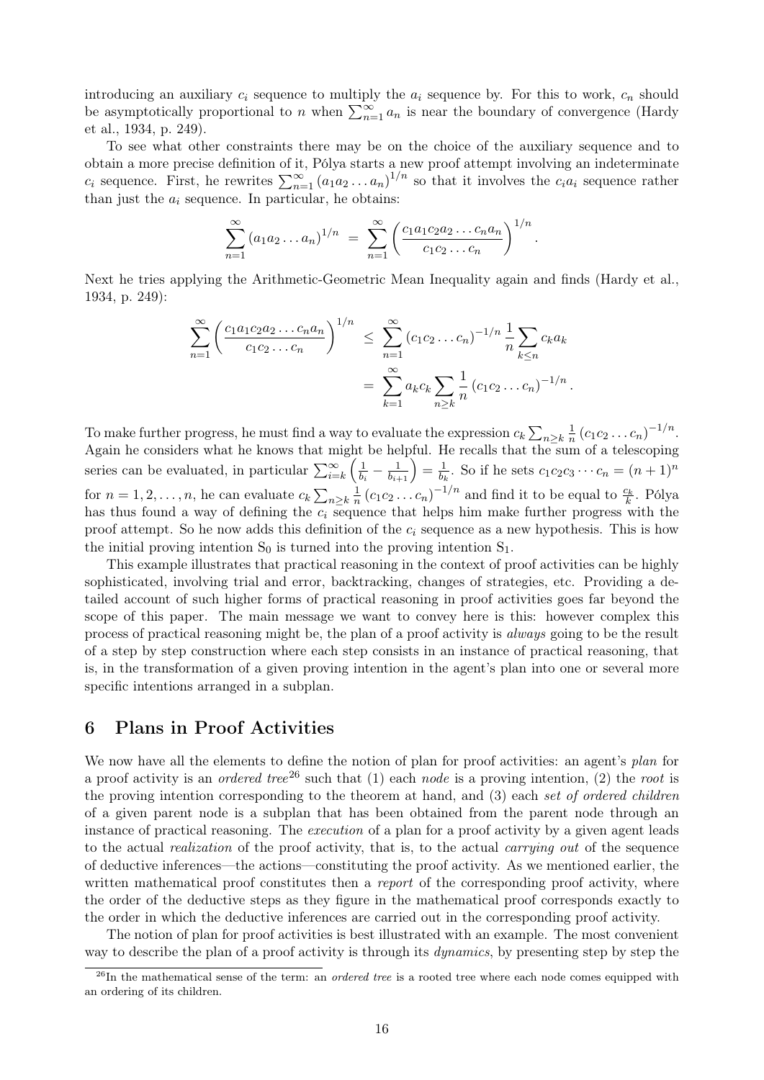introducing an auxiliary  $c_i$  sequence to multiply the  $a_i$  sequence by. For this to work,  $c_n$  should be asymptotically proportional to n when  $\sum_{n=1}^{\infty} a_n$  is near the boundary of convergence (Hardy et al., 1934, p. 249).

To see what other constraints there may be on the choice of the auxiliary sequence and to obtain a more precise definition of it, Pólya starts a new proof attempt involving an indeterminate  $c_i$  sequence. First, he rewrites  $\sum_{n=1}^{\infty} (a_1 a_2 \ldots a_n)^{1/n}$  so that it involves the  $c_i a_i$  sequence rather than just the  $a_i$  sequence. In particular, he obtains:

$$
\sum_{n=1}^{\infty} (a_1 a_2 \dots a_n)^{1/n} = \sum_{n=1}^{\infty} \left( \frac{c_1 a_1 c_2 a_2 \dots c_n a_n}{c_1 c_2 \dots c_n} \right)^{1/n}.
$$

Next he tries applying the Arithmetic-Geometric Mean Inequality again and finds (Hardy et al., 1934, p. 249):

$$
\sum_{n=1}^{\infty} \left( \frac{c_1 a_1 c_2 a_2 \dots c_n a_n}{c_1 c_2 \dots c_n} \right)^{1/n} \leq \sum_{n=1}^{\infty} (c_1 c_2 \dots c_n)^{-1/n} \frac{1}{n} \sum_{k \leq n} c_k a_k
$$

$$
= \sum_{k=1}^{\infty} a_k c_k \sum_{n \geq k} \frac{1}{n} (c_1 c_2 \dots c_n)^{-1/n}.
$$

To make further progress, he must find a way to evaluate the expression  $c_k \sum_{n \geq k} \frac{1}{n}$  $\frac{1}{n}(c_1c_2...c_n)^{-1/n}.$ Again he considers what he knows that might be helpful. He recalls that the sum of a telescoping series can be evaluated, in particular  $\sum_{i=k}^{\infty} \left( \frac{1}{b_i} \right)$  $\frac{1}{b_i}-\frac{1}{b_{i+1}}\Big)=\frac{1}{b_h}$  $\frac{1}{b_k}$ . So if he sets  $c_1c_2c_3\cdots c_n = (n+1)^n$ for  $n = 1, 2, \ldots, n$ , he can evaluate  $c_k \sum_{n \geq k} \frac{1}{n}$  $\frac{1}{n}(c_1c_2\ldots c_n)^{-1/n}$  and find it to be equal to  $\frac{c_k}{k}$ . Pólya has thus found a way of defining the  $c_i$  sequence that helps him make further progress with the proof attempt. So he now adds this definition of the  $c_i$  sequence as a new hypothesis. This is how the initial proving intention  $S_0$  is turned into the proving intention  $S_1$ .

This example illustrates that practical reasoning in the context of proof activities can be highly sophisticated, involving trial and error, backtracking, changes of strategies, etc. Providing a detailed account of such higher forms of practical reasoning in proof activities goes far beyond the scope of this paper. The main message we want to convey here is this: however complex this process of practical reasoning might be, the plan of a proof activity is always going to be the result of a step by step construction where each step consists in an instance of practical reasoning, that is, in the transformation of a given proving intention in the agent's plan into one or several more specific intentions arranged in a subplan.

### 6 Plans in Proof Activities

We now have all the elements to define the notion of plan for proof activities: an agent's plan for a proof activity is an *ordered tree*<sup>26</sup> such that (1) each *node* is a proving intention, (2) the *root* is the proving intention corresponding to the theorem at hand, and (3) each set of ordered children of a given parent node is a subplan that has been obtained from the parent node through an instance of practical reasoning. The *execution* of a plan for a proof activity by a given agent leads to the actual realization of the proof activity, that is, to the actual carrying out of the sequence of deductive inferences—the actions—constituting the proof activity. As we mentioned earlier, the written mathematical proof constitutes then a *report* of the corresponding proof activity, where the order of the deductive steps as they figure in the mathematical proof corresponds exactly to the order in which the deductive inferences are carried out in the corresponding proof activity.

The notion of plan for proof activities is best illustrated with an example. The most convenient way to describe the plan of a proof activity is through its *dynamics*, by presenting step by step the

 $^{26}$ In the mathematical sense of the term: an *ordered tree* is a rooted tree where each node comes equipped with an ordering of its children.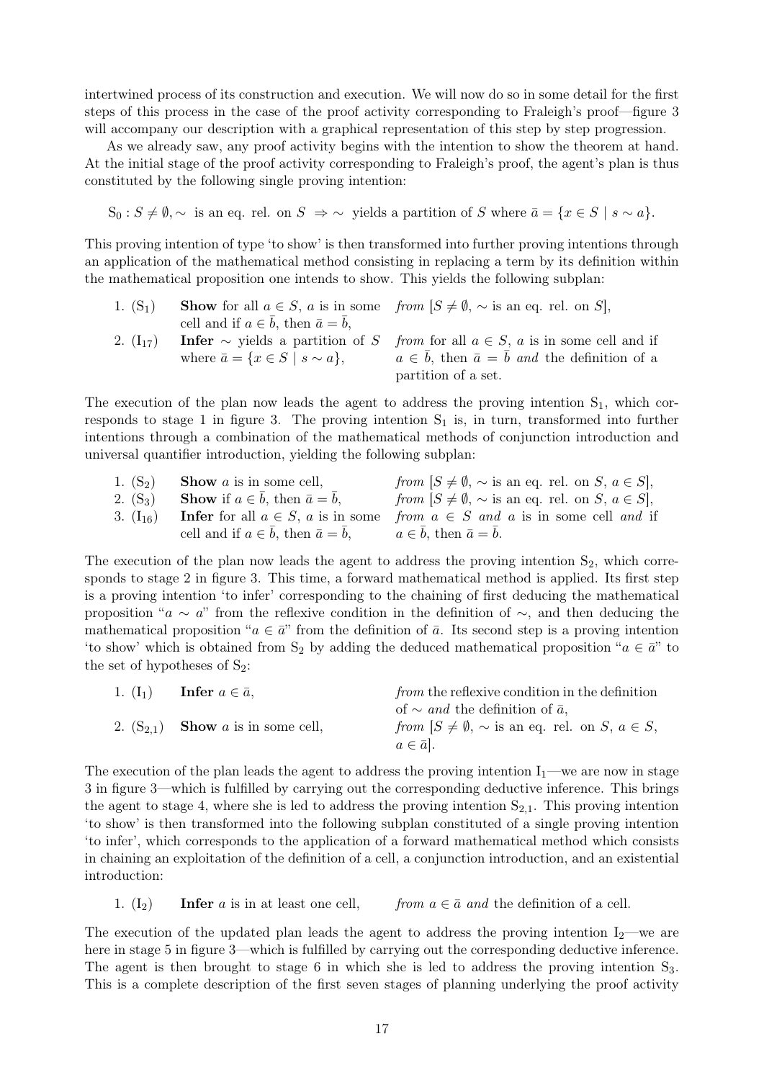intertwined process of its construction and execution. We will now do so in some detail for the first steps of this process in the case of the proof activity corresponding to Fraleigh's proof—figure 3 will accompany our description with a graphical representation of this step by step progression.

As we already saw, any proof activity begins with the intention to show the theorem at hand. At the initial stage of the proof activity corresponding to Fraleigh's proof, the agent's plan is thus constituted by the following single proving intention:

$$
S_0: S \neq \emptyset
$$
, ~ is an eq. rel. on  $S \Rightarrow \sim$  yields a partition of S where  $\bar{a} = \{x \in S \mid s \sim a\}.$ 

This proving intention of type 'to show' is then transformed into further proving intentions through an application of the mathematical method consisting in replacing a term by its definition within the mathematical proposition one intends to show. This yields the following subplan:

| 1. $(S_1)$    |                                               | <b>Show</b> for all $a \in S$ , a is in some from $S \neq \emptyset$ , $\sim$ is an eq. rel. on S, |
|---------------|-----------------------------------------------|----------------------------------------------------------------------------------------------------|
|               | cell and if $a \in b$ , then $\bar{a} = b$ ,  |                                                                                                    |
| 2. $(I_{17})$ |                                               | <b>Infer</b> $\sim$ yields a partition of S from for all $a \in S$ , a is in some cell and if      |
|               | where $\bar{a} = \{x \in S \mid s \sim a\},\$ | $a \in b$ , then $\bar{a} = b$ and the definition of a                                             |
|               |                                               | partition of a set.                                                                                |

The execution of the plan now leads the agent to address the proving intention  $S_1$ , which corresponds to stage 1 in figure 3. The proving intention  $S_1$  is, in turn, transformed into further intentions through a combination of the mathematical methods of conjunction introduction and universal quantifier introduction, yielding the following subplan:

|               | 1. $(S_2)$ Show a is in some cell,                                         | from $[S \neq \emptyset, \sim \text{is an eq. rel. on } S, a \in S],$                     |
|---------------|----------------------------------------------------------------------------|-------------------------------------------------------------------------------------------|
| 2. $(S_3)$    | <b>Show</b> if $a \in \overline{b}$ , then $\overline{a} = \overline{b}$ , | from $[S \neq \emptyset, \sim \text{is an eq. rel. on } S, a \in S],$                     |
| 3. $(I_{16})$ |                                                                            | <b>Infer</b> for all $a \in S$ , a is in some from $a \in S$ and a is in some cell and if |
|               | cell and if $a \in b$ , then $\bar{a} = b$ ,                               | $a \in b$ , then $\bar{a} = b$ .                                                          |

The execution of the plan now leads the agent to address the proving intention  $S_2$ , which corresponds to stage 2 in figure 3. This time, a forward mathematical method is applied. Its first step is a proving intention 'to infer' corresponding to the chaining of first deducing the mathematical proposition "a ∼ a" from the reflexive condition in the definition of  $\sim$ , and then deducing the mathematical proposition " $a \in \bar{a}$ " from the definition of  $\bar{a}$ . Its second step is a proving intention 'to show' which is obtained from S<sub>2</sub> by adding the deduced mathematical proposition " $a \in \bar{a}$ " to the set of hypotheses of  $S_2$ :

| 1. $(I_1)$ | Infer $a \in \bar{a}$ ,                | from the reflexive condition in the definition                       |  |
|------------|----------------------------------------|----------------------------------------------------------------------|--|
|            |                                        | of $\sim$ and the definition of $\bar{a}$ ,                          |  |
|            | 2. $(S_{2,1})$ Show a is in some cell, | from $[S \neq \emptyset, \sim \text{is an eq. rel. on } S, a \in S,$ |  |
|            |                                        | $a \in \overline{a}$ .                                               |  |

The execution of the plan leads the agent to address the proving intention  $I_1$ —we are now in stage 3 in figure 3—which is fulfilled by carrying out the corresponding deductive inference. This brings the agent to stage 4, where she is led to address the proving intention  $S_{2,1}$ . This proving intention 'to show' is then transformed into the following subplan constituted of a single proving intention 'to infer', which corresponds to the application of a forward mathematical method which consists in chaining an exploitation of the definition of a cell, a conjunction introduction, and an existential introduction:

1. (I<sub>2</sub>) Infer a is in at least one cell, from  $a \in \bar{a}$  and the definition of a cell.

The execution of the updated plan leads the agent to address the proving intention  $I_2$ —we are here in stage 5 in figure 3—which is fulfilled by carrying out the corresponding deductive inference. The agent is then brought to stage 6 in which she is led to address the proving intention  $S_3$ . This is a complete description of the first seven stages of planning underlying the proof activity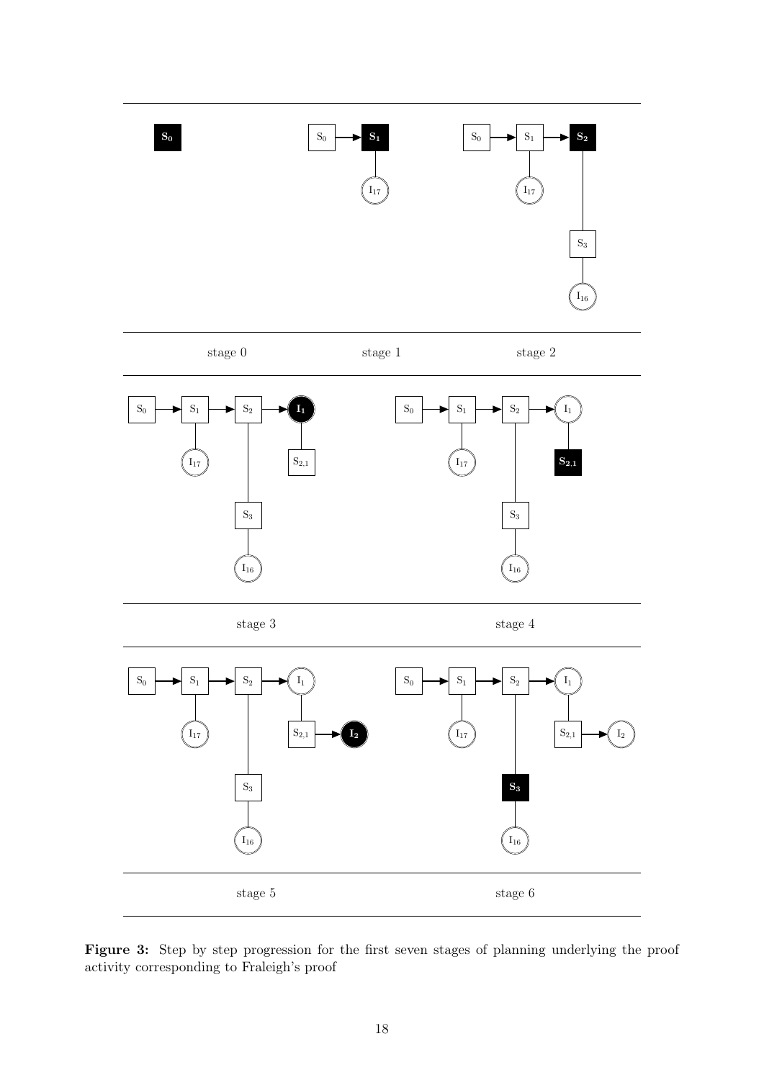

Figure 3: Step by step progression for the first seven stages of planning underlying the proof activity corresponding to Fraleigh's proof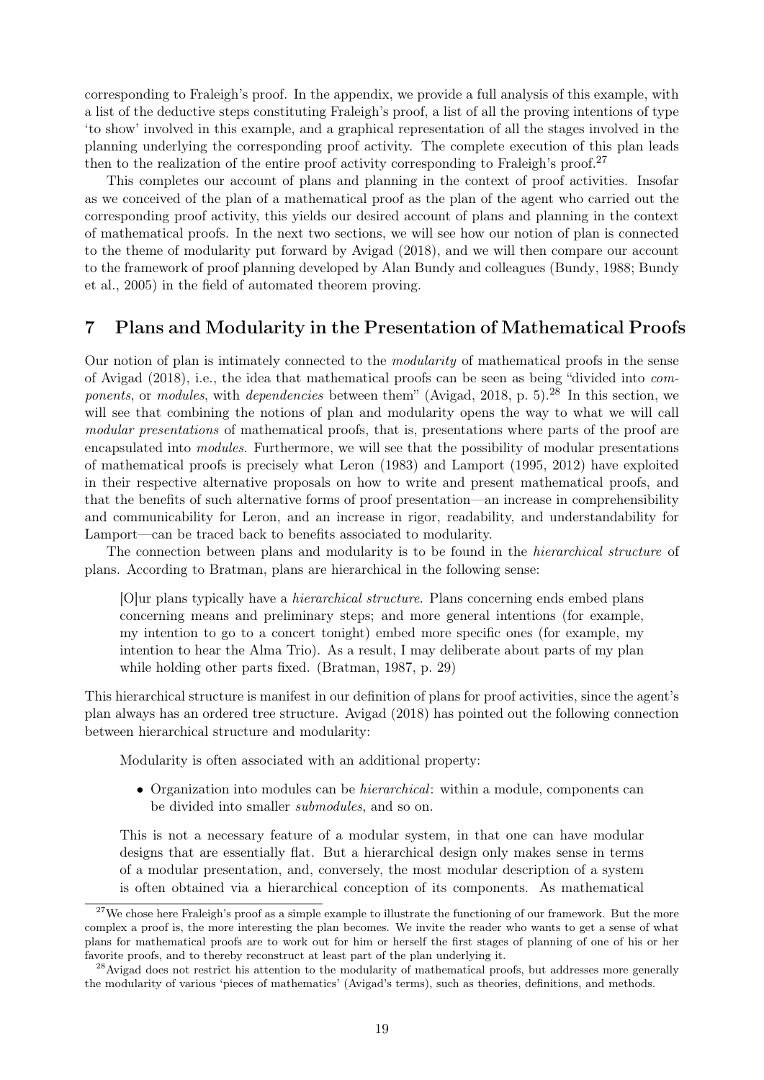corresponding to Fraleigh's proof. In the appendix, we provide a full analysis of this example, with a list of the deductive steps constituting Fraleigh's proof, a list of all the proving intentions of type 'to show' involved in this example, and a graphical representation of all the stages involved in the planning underlying the corresponding proof activity. The complete execution of this plan leads then to the realization of the entire proof activity corresponding to Fraleigh's proof.<sup>27</sup>

This completes our account of plans and planning in the context of proof activities. Insofar as we conceived of the plan of a mathematical proof as the plan of the agent who carried out the corresponding proof activity, this yields our desired account of plans and planning in the context of mathematical proofs. In the next two sections, we will see how our notion of plan is connected to the theme of modularity put forward by Avigad (2018), and we will then compare our account to the framework of proof planning developed by Alan Bundy and colleagues (Bundy, 1988; Bundy et al., 2005) in the field of automated theorem proving.

## 7 Plans and Modularity in the Presentation of Mathematical Proofs

Our notion of plan is intimately connected to the modularity of mathematical proofs in the sense of Avigad (2018), i.e., the idea that mathematical proofs can be seen as being "divided into components, or modules, with dependencies between them" (Avigad, 2018, p. 5).<sup>28</sup> In this section, we will see that combining the notions of plan and modularity opens the way to what we will call modular presentations of mathematical proofs, that is, presentations where parts of the proof are encapsulated into modules. Furthermore, we will see that the possibility of modular presentations of mathematical proofs is precisely what Leron (1983) and Lamport (1995, 2012) have exploited in their respective alternative proposals on how to write and present mathematical proofs, and that the benefits of such alternative forms of proof presentation—an increase in comprehensibility and communicability for Leron, and an increase in rigor, readability, and understandability for Lamport—can be traced back to benefits associated to modularity.

The connection between plans and modularity is to be found in the *hierarchical structure* of plans. According to Bratman, plans are hierarchical in the following sense:

[O]ur plans typically have a hierarchical structure. Plans concerning ends embed plans concerning means and preliminary steps; and more general intentions (for example, my intention to go to a concert tonight) embed more specific ones (for example, my intention to hear the Alma Trio). As a result, I may deliberate about parts of my plan while holding other parts fixed. (Bratman, 1987, p. 29)

This hierarchical structure is manifest in our definition of plans for proof activities, since the agent's plan always has an ordered tree structure. Avigad (2018) has pointed out the following connection between hierarchical structure and modularity:

Modularity is often associated with an additional property:

• Organization into modules can be hierarchical: within a module, components can be divided into smaller submodules, and so on.

This is not a necessary feature of a modular system, in that one can have modular designs that are essentially flat. But a hierarchical design only makes sense in terms of a modular presentation, and, conversely, the most modular description of a system is often obtained via a hierarchical conception of its components. As mathematical

 $27$ We chose here Fraleigh's proof as a simple example to illustrate the functioning of our framework. But the more complex a proof is, the more interesting the plan becomes. We invite the reader who wants to get a sense of what plans for mathematical proofs are to work out for him or herself the first stages of planning of one of his or her favorite proofs, and to thereby reconstruct at least part of the plan underlying it.

<sup>&</sup>lt;sup>28</sup>Avigad does not restrict his attention to the modularity of mathematical proofs, but addresses more generally the modularity of various 'pieces of mathematics' (Avigad's terms), such as theories, definitions, and methods.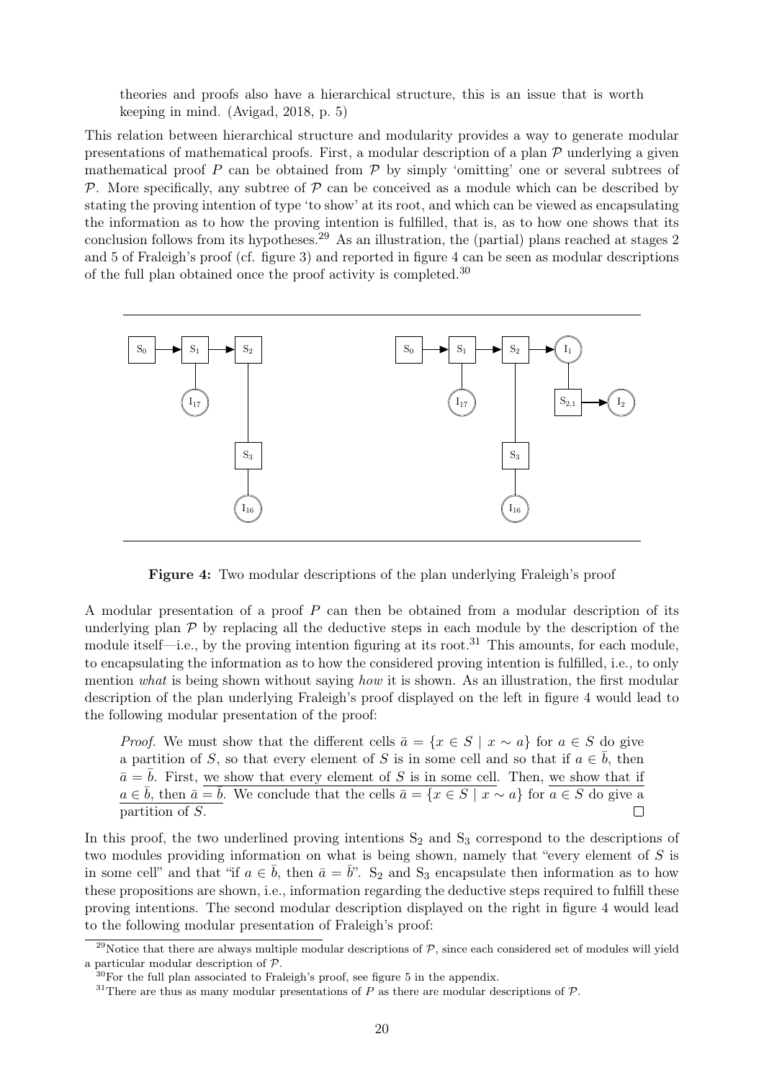theories and proofs also have a hierarchical structure, this is an issue that is worth keeping in mind. (Avigad, 2018, p. 5)

This relation between hierarchical structure and modularity provides a way to generate modular presentations of mathematical proofs. First, a modular description of a plan  $\mathcal P$  underlying a given mathematical proof P can be obtained from  $\mathcal P$  by simply 'omitting' one or several subtrees of  $P$ . More specifically, any subtree of  $P$  can be conceived as a module which can be described by stating the proving intention of type 'to show' at its root, and which can be viewed as encapsulating the information as to how the proving intention is fulfilled, that is, as to how one shows that its conclusion follows from its hypotheses.<sup>29</sup> As an illustration, the (partial) plans reached at stages 2 and 5 of Fraleigh's proof (cf. figure 3) and reported in figure 4 can be seen as modular descriptions of the full plan obtained once the proof activity is completed.<sup>30</sup>



Figure 4: Two modular descriptions of the plan underlying Fraleigh's proof

A modular presentation of a proof  $P$  can then be obtained from a modular description of its underlying plan  $\mathcal P$  by replacing all the deductive steps in each module by the description of the module itself—i.e., by the proving intention figuring at its root.<sup>31</sup> This amounts, for each module, to encapsulating the information as to how the considered proving intention is fulfilled, i.e., to only mention what is being shown without saying how it is shown. As an illustration, the first modular description of the plan underlying Fraleigh's proof displayed on the left in figure 4 would lead to the following modular presentation of the proof:

*Proof.* We must show that the different cells  $\bar{a} = \{x \in S \mid x \sim a\}$  for  $a \in S$  do give a partition of S, so that every element of S is in some cell and so that if  $a \in \overline{b}$ , then  $\bar{a}=\bar{b}$ . First, we show that every element of S is in some cell. Then, we show that if  $a \in \overline{b}$ , then  $\overline{a} = \overline{b}$ . We conclude that the cells  $\overline{a} = \{x \in S \mid x \sim a\}$  for  $\overline{a \in S}$  do give a partition of S.  $\Box$ 

In this proof, the two underlined proving intentions  $S_2$  and  $S_3$  correspond to the descriptions of two modules providing information on what is being shown, namely that "every element of S is in some cell" and that "if  $a \in \bar{b}$ , then  $\bar{a} = \bar{b}$ ". S<sub>2</sub> and S<sub>3</sub> encapsulate then information as to how these propositions are shown, i.e., information regarding the deductive steps required to fulfill these proving intentions. The second modular description displayed on the right in figure 4 would lead to the following modular presentation of Fraleigh's proof:

<sup>&</sup>lt;sup>29</sup>Notice that there are always multiple modular descriptions of  $P$ , since each considered set of modules will yield a particular modular description of P.

 $30$ For the full plan associated to Fraleigh's proof, see figure 5 in the appendix.

<sup>&</sup>lt;sup>31</sup>There are thus as many modular presentations of P as there are modular descriptions of P.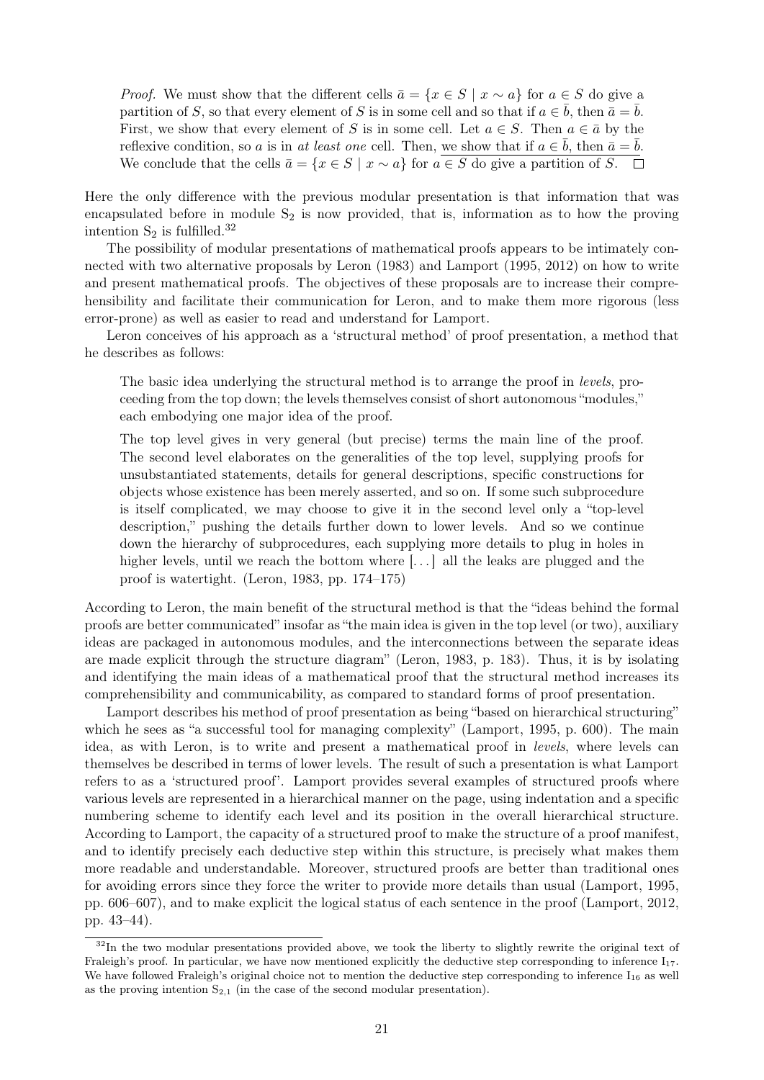*Proof.* We must show that the different cells  $\bar{a} = \{x \in S \mid x \sim a\}$  for  $a \in S$  do give a partition of S, so that every element of S is in some cell and so that if  $a \in b$ , then  $\bar{a} = b$ . First, we show that every element of S is in some cell. Let  $a \in S$ . Then  $a \in \bar{a}$  by the reflexive condition, so a is in at least one cell. Then, we show that if  $a \in b$ , then  $\bar{a} = b$ . We conclude that the cells  $\bar{a} = \{x \in S \mid x \sim a\}$  for  $a \in S$  do give a partition of S.  $\Box$ 

Here the only difference with the previous modular presentation is that information that was encapsulated before in module  $S_2$  is now provided, that is, information as to how the proving intention  $S_2$  is fulfilled.<sup>32</sup>

The possibility of modular presentations of mathematical proofs appears to be intimately connected with two alternative proposals by Leron (1983) and Lamport (1995, 2012) on how to write and present mathematical proofs. The objectives of these proposals are to increase their comprehensibility and facilitate their communication for Leron, and to make them more rigorous (less error-prone) as well as easier to read and understand for Lamport.

Leron conceives of his approach as a 'structural method' of proof presentation, a method that he describes as follows:

The basic idea underlying the structural method is to arrange the proof in *levels*, proceeding from the top down; the levels themselves consist of short autonomous "modules," each embodying one major idea of the proof.

The top level gives in very general (but precise) terms the main line of the proof. The second level elaborates on the generalities of the top level, supplying proofs for unsubstantiated statements, details for general descriptions, specific constructions for objects whose existence has been merely asserted, and so on. If some such subprocedure is itself complicated, we may choose to give it in the second level only a "top-level description," pushing the details further down to lower levels. And so we continue down the hierarchy of subprocedures, each supplying more details to plug in holes in higher levels, until we reach the bottom where [...] all the leaks are plugged and the proof is watertight. (Leron, 1983, pp. 174–175)

According to Leron, the main benefit of the structural method is that the "ideas behind the formal proofs are better communicated" insofar as "the main idea is given in the top level (or two), auxiliary ideas are packaged in autonomous modules, and the interconnections between the separate ideas are made explicit through the structure diagram" (Leron, 1983, p. 183). Thus, it is by isolating and identifying the main ideas of a mathematical proof that the structural method increases its comprehensibility and communicability, as compared to standard forms of proof presentation.

Lamport describes his method of proof presentation as being "based on hierarchical structuring" which he sees as "a successful tool for managing complexity" (Lamport, 1995, p. 600). The main idea, as with Leron, is to write and present a mathematical proof in levels, where levels can themselves be described in terms of lower levels. The result of such a presentation is what Lamport refers to as a 'structured proof'. Lamport provides several examples of structured proofs where various levels are represented in a hierarchical manner on the page, using indentation and a specific numbering scheme to identify each level and its position in the overall hierarchical structure. According to Lamport, the capacity of a structured proof to make the structure of a proof manifest, and to identify precisely each deductive step within this structure, is precisely what makes them more readable and understandable. Moreover, structured proofs are better than traditional ones for avoiding errors since they force the writer to provide more details than usual (Lamport, 1995, pp. 606–607), and to make explicit the logical status of each sentence in the proof (Lamport, 2012, pp. 43–44).

<sup>&</sup>lt;sup>32</sup>In the two modular presentations provided above, we took the liberty to slightly rewrite the original text of Fraleigh's proof. In particular, we have now mentioned explicitly the deductive step corresponding to inference I17. We have followed Fraleigh's original choice not to mention the deductive step corresponding to inference I<sub>16</sub> as well as the proving intention  $S_{2,1}$  (in the case of the second modular presentation).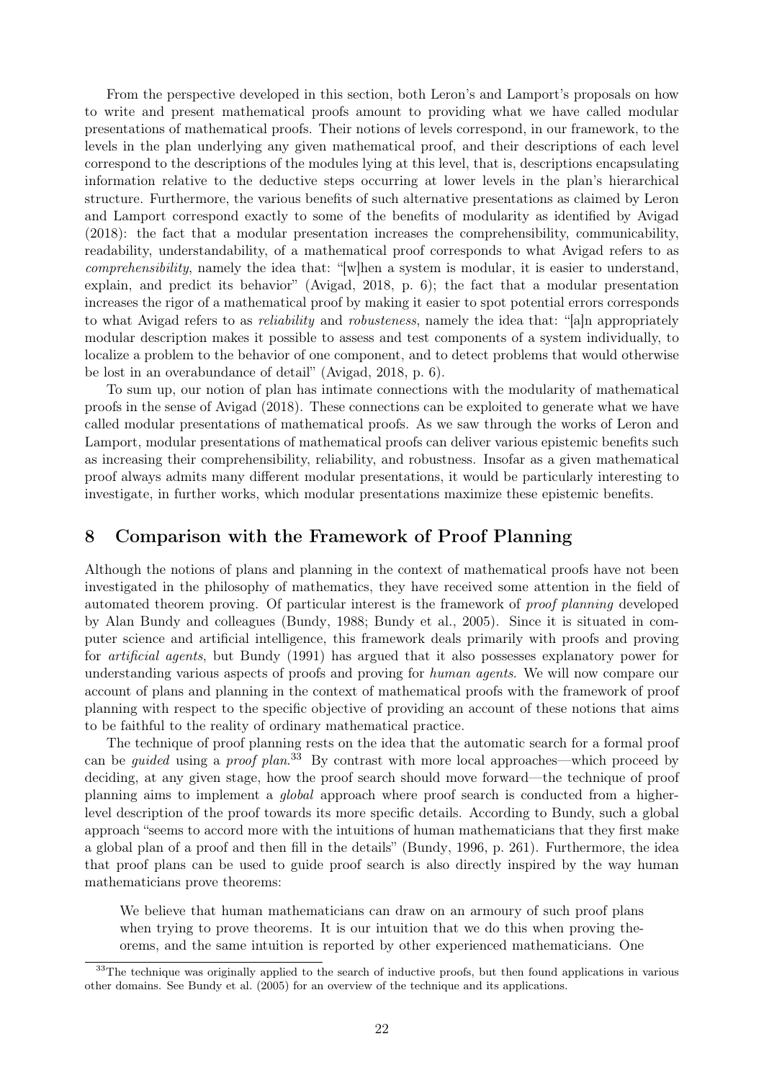From the perspective developed in this section, both Leron's and Lamport's proposals on how to write and present mathematical proofs amount to providing what we have called modular presentations of mathematical proofs. Their notions of levels correspond, in our framework, to the levels in the plan underlying any given mathematical proof, and their descriptions of each level correspond to the descriptions of the modules lying at this level, that is, descriptions encapsulating information relative to the deductive steps occurring at lower levels in the plan's hierarchical structure. Furthermore, the various benefits of such alternative presentations as claimed by Leron and Lamport correspond exactly to some of the benefits of modularity as identified by Avigad (2018): the fact that a modular presentation increases the comprehensibility, communicability, readability, understandability, of a mathematical proof corresponds to what Avigad refers to as comprehensibility, namely the idea that: "[w]hen a system is modular, it is easier to understand, explain, and predict its behavior" (Avigad, 2018, p. 6); the fact that a modular presentation increases the rigor of a mathematical proof by making it easier to spot potential errors corresponds to what Avigad refers to as reliability and robusteness, namely the idea that: "[a]n appropriately modular description makes it possible to assess and test components of a system individually, to localize a problem to the behavior of one component, and to detect problems that would otherwise be lost in an overabundance of detail" (Avigad, 2018, p. 6).

To sum up, our notion of plan has intimate connections with the modularity of mathematical proofs in the sense of Avigad (2018). These connections can be exploited to generate what we have called modular presentations of mathematical proofs. As we saw through the works of Leron and Lamport, modular presentations of mathematical proofs can deliver various epistemic benefits such as increasing their comprehensibility, reliability, and robustness. Insofar as a given mathematical proof always admits many different modular presentations, it would be particularly interesting to investigate, in further works, which modular presentations maximize these epistemic benefits.

### 8 Comparison with the Framework of Proof Planning

Although the notions of plans and planning in the context of mathematical proofs have not been investigated in the philosophy of mathematics, they have received some attention in the field of automated theorem proving. Of particular interest is the framework of proof planning developed by Alan Bundy and colleagues (Bundy, 1988; Bundy et al., 2005). Since it is situated in computer science and artificial intelligence, this framework deals primarily with proofs and proving for artificial agents, but Bundy (1991) has argued that it also possesses explanatory power for understanding various aspects of proofs and proving for human agents. We will now compare our account of plans and planning in the context of mathematical proofs with the framework of proof planning with respect to the specific objective of providing an account of these notions that aims to be faithful to the reality of ordinary mathematical practice.

The technique of proof planning rests on the idea that the automatic search for a formal proof can be *guided* using a *proof plan*.<sup>33</sup> By contrast with more local approaches—which proceed by deciding, at any given stage, how the proof search should move forward—the technique of proof planning aims to implement a global approach where proof search is conducted from a higherlevel description of the proof towards its more specific details. According to Bundy, such a global approach "seems to accord more with the intuitions of human mathematicians that they first make a global plan of a proof and then fill in the details" (Bundy, 1996, p. 261). Furthermore, the idea that proof plans can be used to guide proof search is also directly inspired by the way human mathematicians prove theorems:

We believe that human mathematicians can draw on an armoury of such proof plans when trying to prove theorems. It is our intuition that we do this when proving theorems, and the same intuition is reported by other experienced mathematicians. One

<sup>&</sup>lt;sup>33</sup>The technique was originally applied to the search of inductive proofs, but then found applications in various other domains. See Bundy et al. (2005) for an overview of the technique and its applications.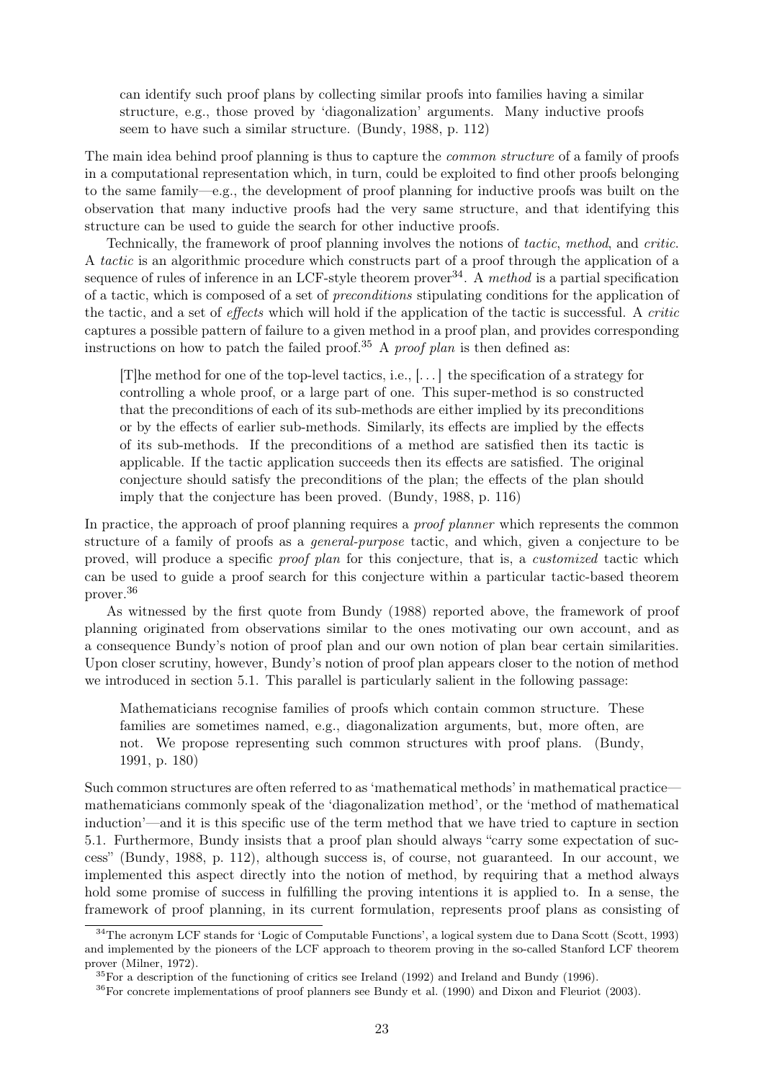can identify such proof plans by collecting similar proofs into families having a similar structure, e.g., those proved by 'diagonalization' arguments. Many inductive proofs seem to have such a similar structure. (Bundy, 1988, p. 112)

The main idea behind proof planning is thus to capture the *common structure* of a family of proofs in a computational representation which, in turn, could be exploited to find other proofs belonging to the same family—e.g., the development of proof planning for inductive proofs was built on the observation that many inductive proofs had the very same structure, and that identifying this structure can be used to guide the search for other inductive proofs.

Technically, the framework of proof planning involves the notions of tactic, method, and critic. A tactic is an algorithmic procedure which constructs part of a proof through the application of a sequence of rules of inference in an LCF-style theorem prover<sup>34</sup>. A method is a partial specification of a tactic, which is composed of a set of preconditions stipulating conditions for the application of the tactic, and a set of *effects* which will hold if the application of the tactic is successful. A *critic* captures a possible pattern of failure to a given method in a proof plan, and provides corresponding instructions on how to patch the failed proof.<sup>35</sup> A *proof plan* is then defined as:

[T]he method for one of the top-level tactics, i.e., [. . . ] the specification of a strategy for controlling a whole proof, or a large part of one. This super-method is so constructed that the preconditions of each of its sub-methods are either implied by its preconditions or by the effects of earlier sub-methods. Similarly, its effects are implied by the effects of its sub-methods. If the preconditions of a method are satisfied then its tactic is applicable. If the tactic application succeeds then its effects are satisfied. The original conjecture should satisfy the preconditions of the plan; the effects of the plan should imply that the conjecture has been proved. (Bundy, 1988, p. 116)

In practice, the approach of proof planning requires a *proof planner* which represents the common structure of a family of proofs as a general-purpose tactic, and which, given a conjecture to be proved, will produce a specific proof plan for this conjecture, that is, a customized tactic which can be used to guide a proof search for this conjecture within a particular tactic-based theorem prover.<sup>36</sup>

As witnessed by the first quote from Bundy (1988) reported above, the framework of proof planning originated from observations similar to the ones motivating our own account, and as a consequence Bundy's notion of proof plan and our own notion of plan bear certain similarities. Upon closer scrutiny, however, Bundy's notion of proof plan appears closer to the notion of method we introduced in section 5.1. This parallel is particularly salient in the following passage:

Mathematicians recognise families of proofs which contain common structure. These families are sometimes named, e.g., diagonalization arguments, but, more often, are not. We propose representing such common structures with proof plans. (Bundy, 1991, p. 180)

Such common structures are often referred to as 'mathematical methods' in mathematical practice mathematicians commonly speak of the 'diagonalization method', or the 'method of mathematical induction'—and it is this specific use of the term method that we have tried to capture in section 5.1. Furthermore, Bundy insists that a proof plan should always "carry some expectation of success" (Bundy, 1988, p. 112), although success is, of course, not guaranteed. In our account, we implemented this aspect directly into the notion of method, by requiring that a method always hold some promise of success in fulfilling the proving intentions it is applied to. In a sense, the framework of proof planning, in its current formulation, represents proof plans as consisting of

<sup>&</sup>lt;sup>34</sup>The acronym LCF stands for 'Logic of Computable Functions', a logical system due to Dana Scott (Scott, 1993) and implemented by the pioneers of the LCF approach to theorem proving in the so-called Stanford LCF theorem prover (Milner, 1972).

 $35$  For a description of the functioning of critics see Ireland (1992) and Ireland and Bundy (1996).

<sup>36</sup>For concrete implementations of proof planners see Bundy et al. (1990) and Dixon and Fleuriot (2003).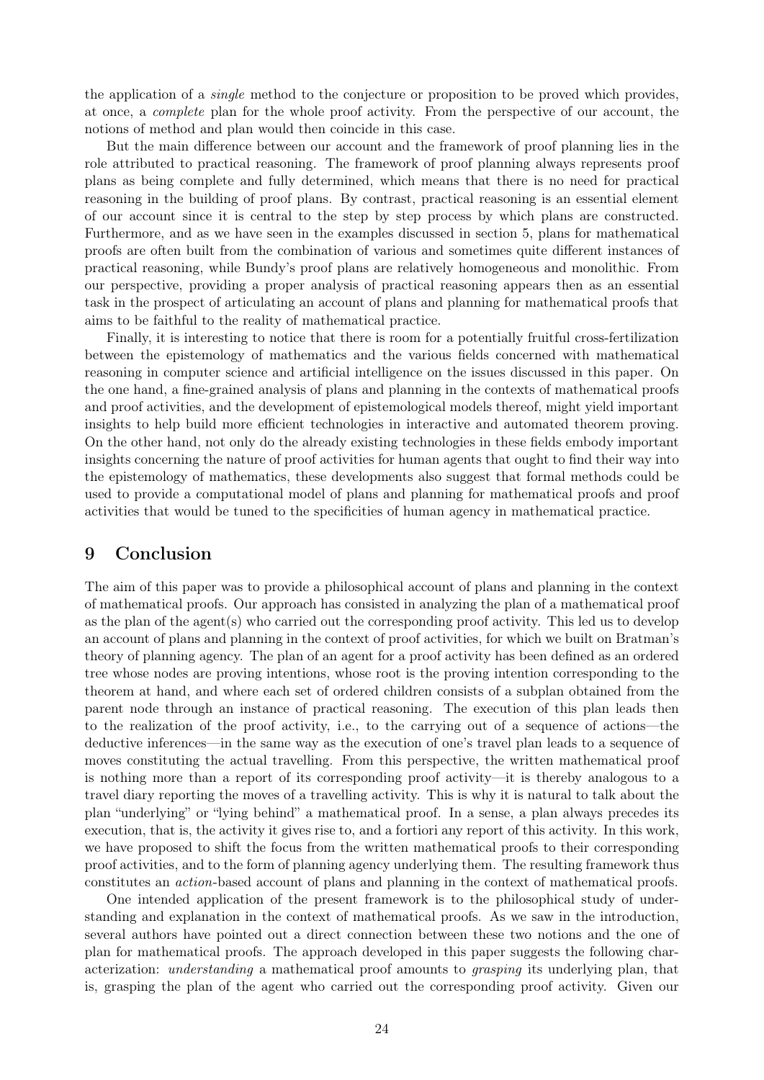the application of a single method to the conjecture or proposition to be proved which provides, at once, a complete plan for the whole proof activity. From the perspective of our account, the notions of method and plan would then coincide in this case.

But the main difference between our account and the framework of proof planning lies in the role attributed to practical reasoning. The framework of proof planning always represents proof plans as being complete and fully determined, which means that there is no need for practical reasoning in the building of proof plans. By contrast, practical reasoning is an essential element of our account since it is central to the step by step process by which plans are constructed. Furthermore, and as we have seen in the examples discussed in section 5, plans for mathematical proofs are often built from the combination of various and sometimes quite different instances of practical reasoning, while Bundy's proof plans are relatively homogeneous and monolithic. From our perspective, providing a proper analysis of practical reasoning appears then as an essential task in the prospect of articulating an account of plans and planning for mathematical proofs that aims to be faithful to the reality of mathematical practice.

Finally, it is interesting to notice that there is room for a potentially fruitful cross-fertilization between the epistemology of mathematics and the various fields concerned with mathematical reasoning in computer science and artificial intelligence on the issues discussed in this paper. On the one hand, a fine-grained analysis of plans and planning in the contexts of mathematical proofs and proof activities, and the development of epistemological models thereof, might yield important insights to help build more efficient technologies in interactive and automated theorem proving. On the other hand, not only do the already existing technologies in these fields embody important insights concerning the nature of proof activities for human agents that ought to find their way into the epistemology of mathematics, these developments also suggest that formal methods could be used to provide a computational model of plans and planning for mathematical proofs and proof activities that would be tuned to the specificities of human agency in mathematical practice.

## 9 Conclusion

The aim of this paper was to provide a philosophical account of plans and planning in the context of mathematical proofs. Our approach has consisted in analyzing the plan of a mathematical proof as the plan of the agent(s) who carried out the corresponding proof activity. This led us to develop an account of plans and planning in the context of proof activities, for which we built on Bratman's theory of planning agency. The plan of an agent for a proof activity has been defined as an ordered tree whose nodes are proving intentions, whose root is the proving intention corresponding to the theorem at hand, and where each set of ordered children consists of a subplan obtained from the parent node through an instance of practical reasoning. The execution of this plan leads then to the realization of the proof activity, i.e., to the carrying out of a sequence of actions—the deductive inferences—in the same way as the execution of one's travel plan leads to a sequence of moves constituting the actual travelling. From this perspective, the written mathematical proof is nothing more than a report of its corresponding proof activity—it is thereby analogous to a travel diary reporting the moves of a travelling activity. This is why it is natural to talk about the plan "underlying" or "lying behind" a mathematical proof. In a sense, a plan always precedes its execution, that is, the activity it gives rise to, and a fortiori any report of this activity. In this work, we have proposed to shift the focus from the written mathematical proofs to their corresponding proof activities, and to the form of planning agency underlying them. The resulting framework thus constitutes an action-based account of plans and planning in the context of mathematical proofs.

One intended application of the present framework is to the philosophical study of understanding and explanation in the context of mathematical proofs. As we saw in the introduction, several authors have pointed out a direct connection between these two notions and the one of plan for mathematical proofs. The approach developed in this paper suggests the following characterization: understanding a mathematical proof amounts to grasping its underlying plan, that is, grasping the plan of the agent who carried out the corresponding proof activity. Given our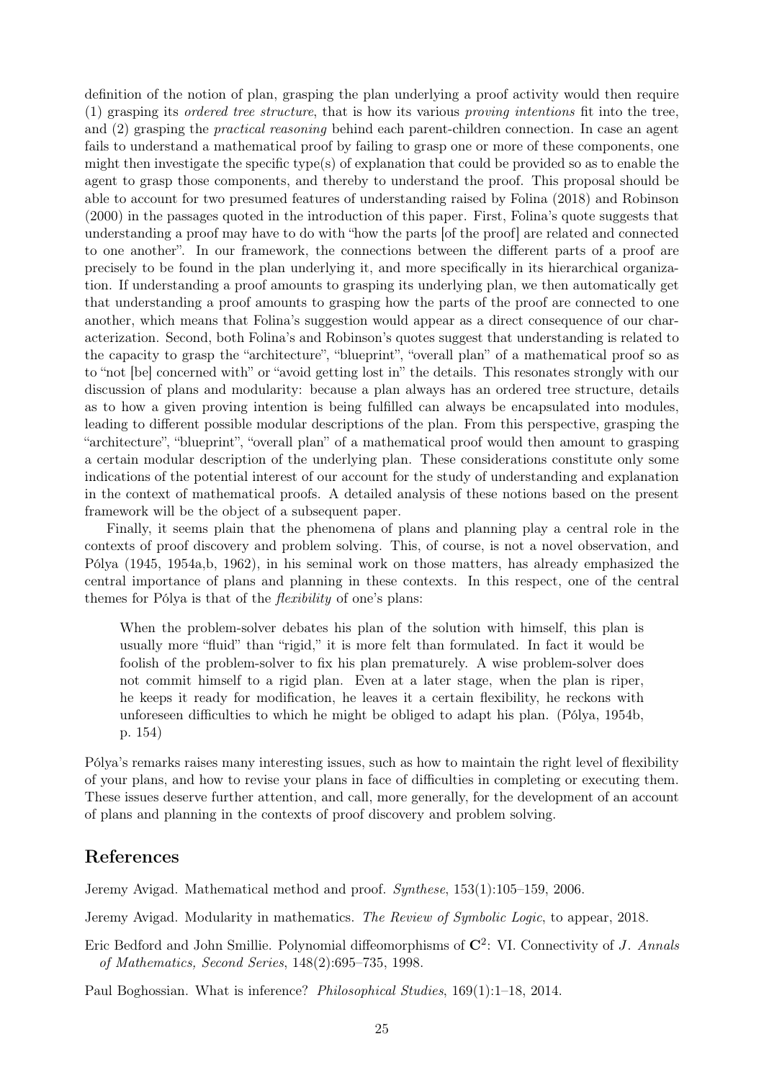definition of the notion of plan, grasping the plan underlying a proof activity would then require (1) grasping its ordered tree structure, that is how its various proving intentions fit into the tree, and (2) grasping the practical reasoning behind each parent-children connection. In case an agent fails to understand a mathematical proof by failing to grasp one or more of these components, one might then investigate the specific type(s) of explanation that could be provided so as to enable the agent to grasp those components, and thereby to understand the proof. This proposal should be able to account for two presumed features of understanding raised by Folina (2018) and Robinson (2000) in the passages quoted in the introduction of this paper. First, Folina's quote suggests that understanding a proof may have to do with "how the parts [of the proof] are related and connected to one another". In our framework, the connections between the different parts of a proof are precisely to be found in the plan underlying it, and more specifically in its hierarchical organization. If understanding a proof amounts to grasping its underlying plan, we then automatically get that understanding a proof amounts to grasping how the parts of the proof are connected to one another, which means that Folina's suggestion would appear as a direct consequence of our characterization. Second, both Folina's and Robinson's quotes suggest that understanding is related to the capacity to grasp the "architecture", "blueprint", "overall plan" of a mathematical proof so as to "not [be] concerned with" or "avoid getting lost in" the details. This resonates strongly with our discussion of plans and modularity: because a plan always has an ordered tree structure, details as to how a given proving intention is being fulfilled can always be encapsulated into modules, leading to different possible modular descriptions of the plan. From this perspective, grasping the "architecture", "blueprint", "overall plan" of a mathematical proof would then amount to grasping a certain modular description of the underlying plan. These considerations constitute only some indications of the potential interest of our account for the study of understanding and explanation in the context of mathematical proofs. A detailed analysis of these notions based on the present framework will be the object of a subsequent paper.

Finally, it seems plain that the phenomena of plans and planning play a central role in the contexts of proof discovery and problem solving. This, of course, is not a novel observation, and Pólya (1945, 1954a,b, 1962), in his seminal work on those matters, has already emphasized the central importance of plans and planning in these contexts. In this respect, one of the central themes for Pólya is that of the flexibility of one's plans:

When the problem-solver debates his plan of the solution with himself, this plan is usually more "fluid" than "rigid," it is more felt than formulated. In fact it would be foolish of the problem-solver to fix his plan prematurely. A wise problem-solver does not commit himself to a rigid plan. Even at a later stage, when the plan is riper, he keeps it ready for modification, he leaves it a certain flexibility, he reckons with unforeseen difficulties to which he might be obliged to adapt his plan. (Pólya, 1954b, p. 154)

Pólya's remarks raises many interesting issues, such as how to maintain the right level of flexibility of your plans, and how to revise your plans in face of difficulties in completing or executing them. These issues deserve further attention, and call, more generally, for the development of an account of plans and planning in the contexts of proof discovery and problem solving.

## References

Jeremy Avigad. Mathematical method and proof. Synthese, 153(1):105–159, 2006.

Jeremy Avigad. Modularity in mathematics. The Review of Symbolic Logic, to appear, 2018.

Eric Bedford and John Smillie. Polynomial diffeomorphisms of  $\mathbb{C}^2$ : VI. Connectivity of J. Annals of Mathematics, Second Series, 148(2):695–735, 1998.

Paul Boghossian. What is inference? Philosophical Studies, 169(1):1–18, 2014.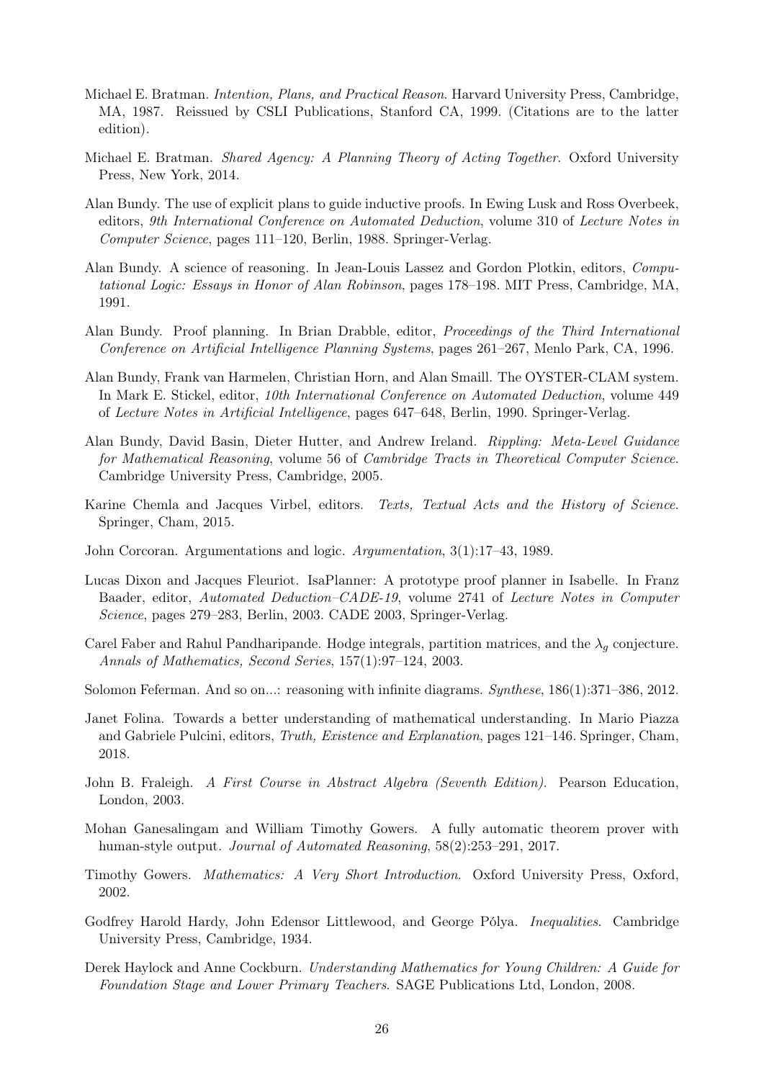- Michael E. Bratman. Intention, Plans, and Practical Reason. Harvard University Press, Cambridge, MA, 1987. Reissued by CSLI Publications, Stanford CA, 1999. (Citations are to the latter edition).
- Michael E. Bratman. Shared Agency: A Planning Theory of Acting Together. Oxford University Press, New York, 2014.
- Alan Bundy. The use of explicit plans to guide inductive proofs. In Ewing Lusk and Ross Overbeek, editors, 9th International Conference on Automated Deduction, volume 310 of Lecture Notes in Computer Science, pages 111–120, Berlin, 1988. Springer-Verlag.
- Alan Bundy. A science of reasoning. In Jean-Louis Lassez and Gordon Plotkin, editors, Computational Logic: Essays in Honor of Alan Robinson, pages 178–198. MIT Press, Cambridge, MA, 1991.
- Alan Bundy. Proof planning. In Brian Drabble, editor, Proceedings of the Third International Conference on Artificial Intelligence Planning Systems, pages 261–267, Menlo Park, CA, 1996.
- Alan Bundy, Frank van Harmelen, Christian Horn, and Alan Smaill. The OYSTER-CLAM system. In Mark E. Stickel, editor, 10th International Conference on Automated Deduction, volume 449 of Lecture Notes in Artificial Intelligence, pages 647–648, Berlin, 1990. Springer-Verlag.
- Alan Bundy, David Basin, Dieter Hutter, and Andrew Ireland. Rippling: Meta-Level Guidance for Mathematical Reasoning, volume 56 of Cambridge Tracts in Theoretical Computer Science. Cambridge University Press, Cambridge, 2005.
- Karine Chemla and Jacques Virbel, editors. Texts, Textual Acts and the History of Science. Springer, Cham, 2015.
- John Corcoran. Argumentations and logic. Argumentation, 3(1):17–43, 1989.
- Lucas Dixon and Jacques Fleuriot. IsaPlanner: A prototype proof planner in Isabelle. In Franz Baader, editor, Automated Deduction–CADE-19, volume 2741 of Lecture Notes in Computer Science, pages 279–283, Berlin, 2003. CADE 2003, Springer-Verlag.
- Carel Faber and Rahul Pandharipande. Hodge integrals, partition matrices, and the  $\lambda_q$  conjecture. Annals of Mathematics, Second Series, 157(1):97–124, 2003.
- Solomon Feferman. And so on...: reasoning with infinite diagrams. Synthese, 186(1):371–386, 2012.
- Janet Folina. Towards a better understanding of mathematical understanding. In Mario Piazza and Gabriele Pulcini, editors, Truth, Existence and Explanation, pages 121–146. Springer, Cham, 2018.
- John B. Fraleigh. A First Course in Abstract Algebra (Seventh Edition). Pearson Education, London, 2003.
- Mohan Ganesalingam and William Timothy Gowers. A fully automatic theorem prover with human-style output. *Journal of Automated Reasoning*,  $58(2):253-291$ , 2017.
- Timothy Gowers. Mathematics: A Very Short Introduction. Oxford University Press, Oxford, 2002.
- Godfrey Harold Hardy, John Edensor Littlewood, and George Pólya. Inequalities. Cambridge University Press, Cambridge, 1934.
- Derek Haylock and Anne Cockburn. Understanding Mathematics for Young Children: A Guide for Foundation Stage and Lower Primary Teachers. SAGE Publications Ltd, London, 2008.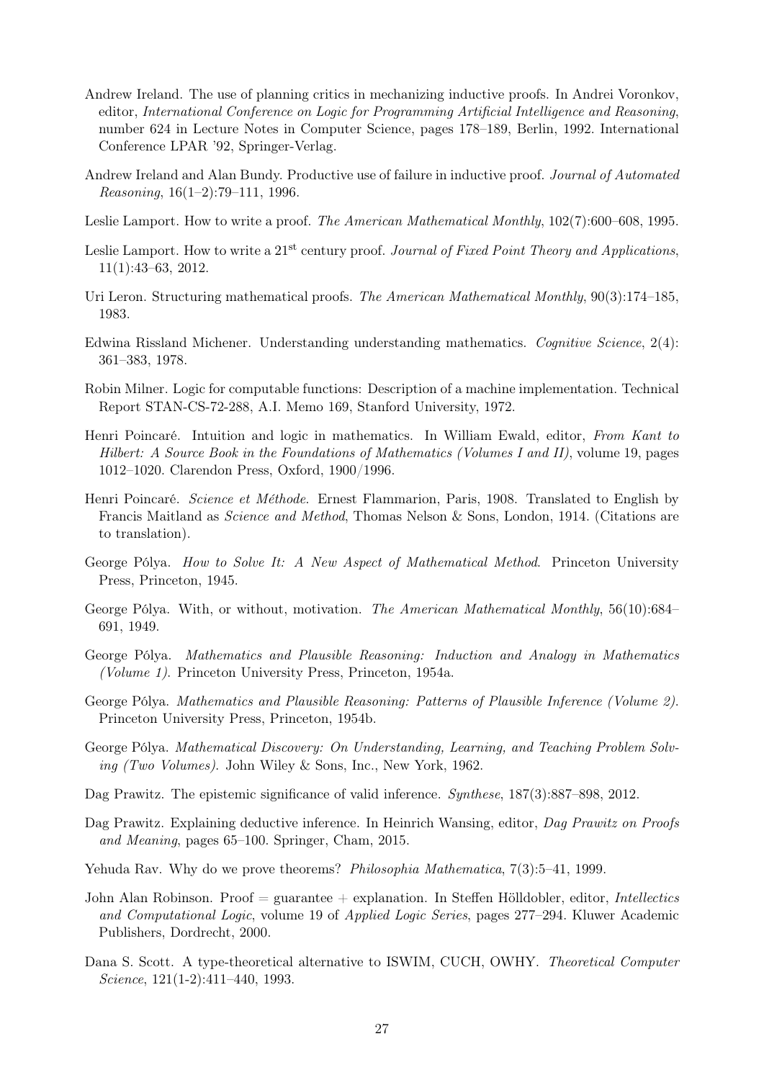- Andrew Ireland. The use of planning critics in mechanizing inductive proofs. In Andrei Voronkov, editor, International Conference on Logic for Programming Artificial Intelligence and Reasoning, number 624 in Lecture Notes in Computer Science, pages 178–189, Berlin, 1992. International Conference LPAR '92, Springer-Verlag.
- Andrew Ireland and Alan Bundy. Productive use of failure in inductive proof. Journal of Automated Reasoning, 16(1–2):79–111, 1996.
- Leslie Lamport. How to write a proof. The American Mathematical Monthly, 102(7):600–608, 1995.
- Leslie Lamport. How to write a 21<sup>st</sup> century proof. Journal of Fixed Point Theory and Applications, 11(1):43–63, 2012.
- Uri Leron. Structuring mathematical proofs. The American Mathematical Monthly, 90(3):174–185, 1983.
- Edwina Rissland Michener. Understanding understanding mathematics. Cognitive Science, 2(4): 361–383, 1978.
- Robin Milner. Logic for computable functions: Description of a machine implementation. Technical Report STAN-CS-72-288, A.I. Memo 169, Stanford University, 1972.
- Henri Poincaré. Intuition and logic in mathematics. In William Ewald, editor, From Kant to Hilbert: A Source Book in the Foundations of Mathematics (Volumes I and II), volume 19, pages 1012–1020. Clarendon Press, Oxford, 1900/1996.
- Henri Poincaré. Science et Méthode. Ernest Flammarion, Paris, 1908. Translated to English by Francis Maitland as Science and Method, Thomas Nelson & Sons, London, 1914. (Citations are to translation).
- George Pólya. How to Solve It: A New Aspect of Mathematical Method. Princeton University Press, Princeton, 1945.
- George Pólya. With, or without, motivation. The American Mathematical Monthly, 56(10):684– 691, 1949.
- George Pólya. Mathematics and Plausible Reasoning: Induction and Analogy in Mathematics (Volume 1). Princeton University Press, Princeton, 1954a.
- George Pólya. Mathematics and Plausible Reasoning: Patterns of Plausible Inference (Volume 2). Princeton University Press, Princeton, 1954b.
- George Pólya. Mathematical Discovery: On Understanding, Learning, and Teaching Problem Solving (Two Volumes). John Wiley & Sons, Inc., New York, 1962.
- Dag Prawitz. The epistemic significance of valid inference. Synthese, 187(3):887–898, 2012.
- Dag Prawitz. Explaining deductive inference. In Heinrich Wansing, editor, Dag Prawitz on Proofs and Meaning, pages 65–100. Springer, Cham, 2015.
- Yehuda Rav. Why do we prove theorems? Philosophia Mathematica, 7(3):5–41, 1999.
- John Alan Robinson. Proof  $=$  guarantee  $+$  explanation. In Steffen Hölldobler, editor, *Intellectics* and Computational Logic, volume 19 of Applied Logic Series, pages 277–294. Kluwer Academic Publishers, Dordrecht, 2000.
- Dana S. Scott. A type-theoretical alternative to ISWIM, CUCH, OWHY. Theoretical Computer Science, 121(1-2):411–440, 1993.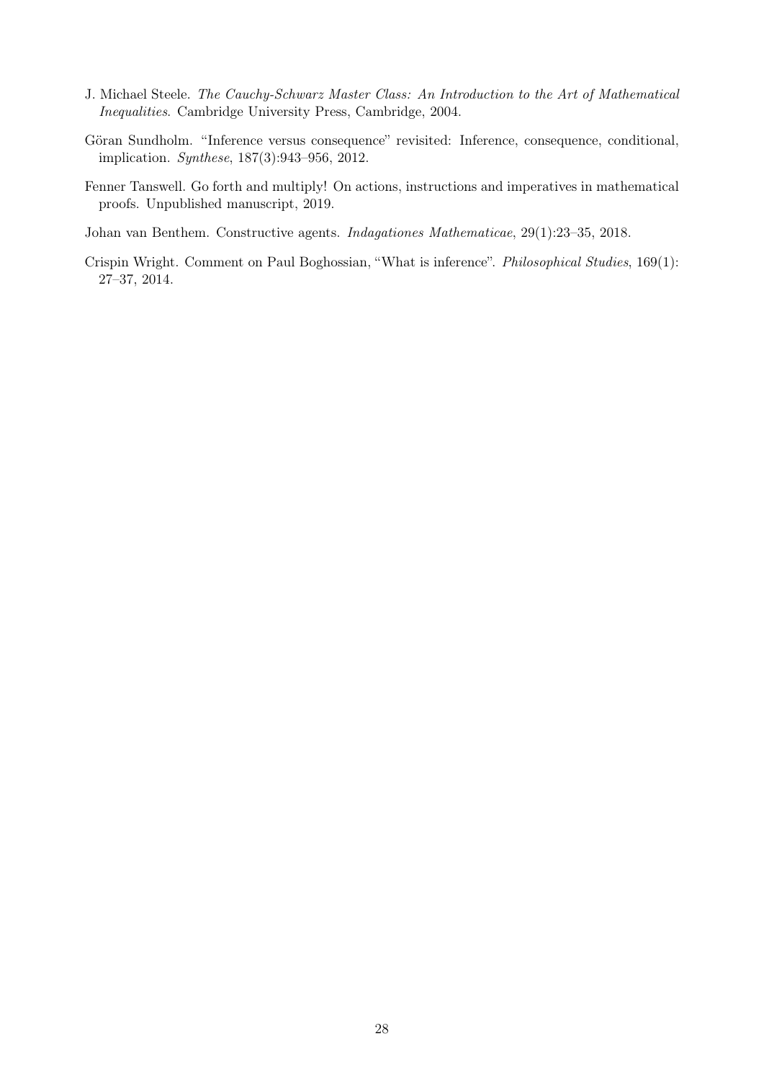- J. Michael Steele. The Cauchy-Schwarz Master Class: An Introduction to the Art of Mathematical Inequalities. Cambridge University Press, Cambridge, 2004.
- Göran Sundholm. "Inference versus consequence" revisited: Inference, consequence, conditional, implication. Synthese, 187(3):943–956, 2012.
- Fenner Tanswell. Go forth and multiply! On actions, instructions and imperatives in mathematical proofs. Unpublished manuscript, 2019.
- Johan van Benthem. Constructive agents. Indagationes Mathematicae, 29(1):23–35, 2018.
- Crispin Wright. Comment on Paul Boghossian, "What is inference". Philosophical Studies, 169(1): 27–37, 2014.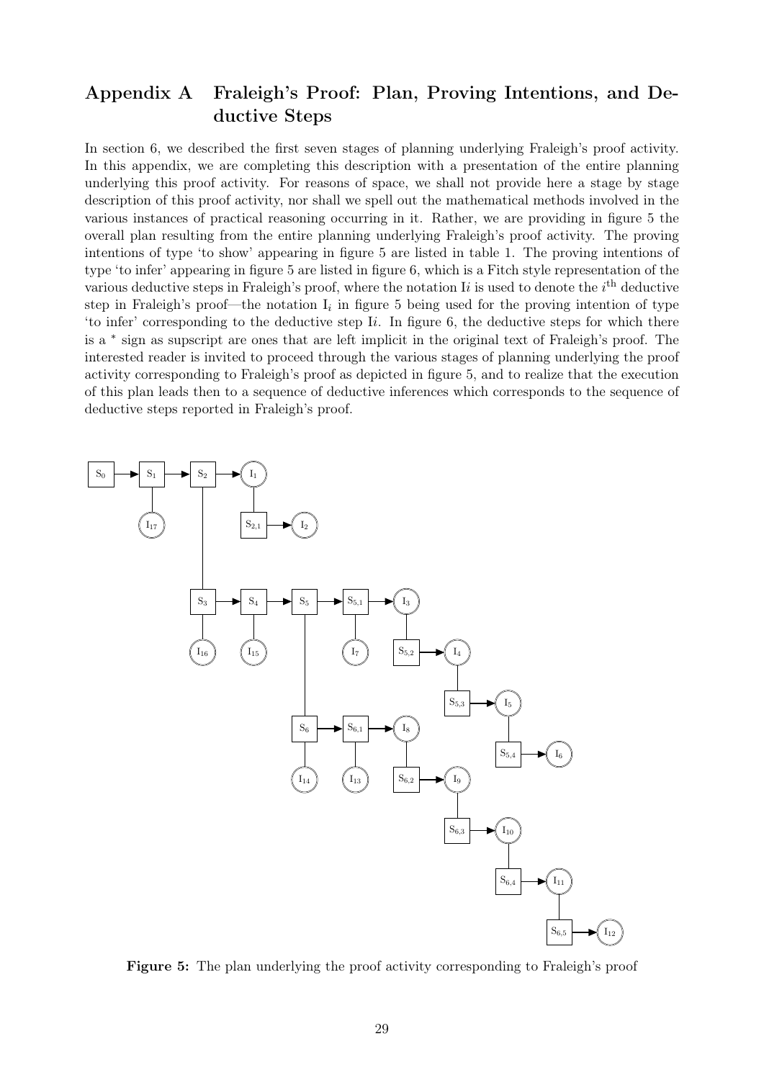# Appendix A Fraleigh's Proof: Plan, Proving Intentions, and Deductive Steps

In section 6, we described the first seven stages of planning underlying Fraleigh's proof activity. In this appendix, we are completing this description with a presentation of the entire planning underlying this proof activity. For reasons of space, we shall not provide here a stage by stage description of this proof activity, nor shall we spell out the mathematical methods involved in the various instances of practical reasoning occurring in it. Rather, we are providing in figure 5 the overall plan resulting from the entire planning underlying Fraleigh's proof activity. The proving intentions of type 'to show' appearing in figure 5 are listed in table 1. The proving intentions of type 'to infer' appearing in figure 5 are listed in figure 6, which is a Fitch style representation of the various deductive steps in Fraleigh's proof, where the notation Ii is used to denote the  $i<sup>th</sup>$  deductive step in Fraleigh's proof—the notation  $I_i$  in figure 5 being used for the proving intention of type 'to infer' corresponding to the deductive step Ii. In figure 6, the deductive steps for which there is a <sup>∗</sup> sign as supscript are ones that are left implicit in the original text of Fraleigh's proof. The interested reader is invited to proceed through the various stages of planning underlying the proof activity corresponding to Fraleigh's proof as depicted in figure 5, and to realize that the execution of this plan leads then to a sequence of deductive inferences which corresponds to the sequence of deductive steps reported in Fraleigh's proof.



Figure 5: The plan underlying the proof activity corresponding to Fraleigh's proof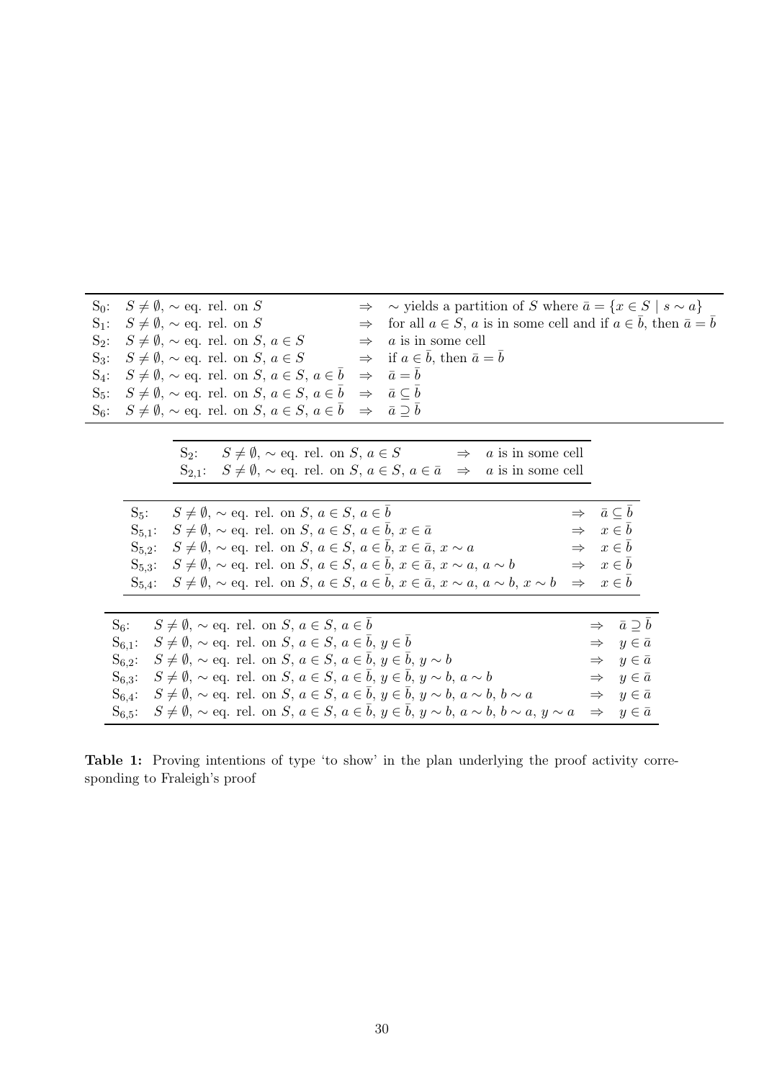|                                                      | $S_0: S \neq \emptyset, \sim$ eq. rel. on S<br>$S_1: S \neq \emptyset, \sim$ eq. rel. on S<br>$\Rightarrow$<br>$S_2$ : $S \neq \emptyset$ , $\sim$ eq. rel. on $S, a \in S$<br>$a$ is in some cell<br>$\Rightarrow$<br>$S_3$ : $S \neq \emptyset$ , $\sim$ eq. rel. on S, $a \in S$ $\Rightarrow$ if $a \in b$ , then $\bar{a} = b$<br>$S_4$ : $S \neq \emptyset$ , $\sim$ eq. rel. on $S, a \in S, a \in b \Rightarrow \bar{a} = b$<br>S <sub>5</sub> : $S \neq \emptyset$ , $\sim$ eq. rel. on S, $a \in S$ , $a \in b \Rightarrow \bar{a} \subseteq b$                                                                                                                                           | $\Rightarrow \sim$ yields a partition of S where $\bar{a} = \{x \in S \mid s \sim a\}$<br>for all $a \in S$ , a is in some cell and if $a \in b$ , then $\bar{a} = b$         |
|------------------------------------------------------|-----------------------------------------------------------------------------------------------------------------------------------------------------------------------------------------------------------------------------------------------------------------------------------------------------------------------------------------------------------------------------------------------------------------------------------------------------------------------------------------------------------------------------------------------------------------------------------------------------------------------------------------------------------------------------------------------------|-------------------------------------------------------------------------------------------------------------------------------------------------------------------------------|
|                                                      | $S_6$ : $S \neq \emptyset$ , $\sim$ eq. rel. on S, $a \in S$ , $a \in \overline{b} \Rightarrow \overline{a} \supseteq \overline{b}$<br>$S_2$ : $S \neq \emptyset$ , $\sim$ eq. rel. on $S, a \in S$<br>$\Rightarrow$<br>$S_{2,1}: S \neq \emptyset$ , $\sim$ eq. rel. on S, $a \in S$ , $a \in \overline{a}$<br>$\Rightarrow$ a is in some cell                                                                                                                                                                                                                                                                                                                                                     | $a$ is in some cell                                                                                                                                                           |
|                                                      | S <sub>5</sub> : $S \neq \emptyset$ , $\sim$ eq. rel. on S, $a \in S$ , $a \in b$<br>$S_{5,1}: S \neq \emptyset$ , $\sim$ eq. rel. on S, $a \in S$ , $a \in b$ , $x \in \overline{a}$<br>$S_{5,2}$ : $S \neq \emptyset$ , $\sim$ eq. rel. on S, $a \in S$ , $a \in b$ , $x \in \overline{a}$ , $x \sim a$<br>$S_{5,3}$ : $S \neq \emptyset$ , $\sim$ eq. rel. on S, $a \in S$ , $a \in \overline{b}$ , $x \in \overline{a}$ , $x \sim a$ , $a \sim b$<br>$S_{5,4}$ : $S \neq \emptyset$ , $\sim$ eq. rel. on S, $a \in S$ , $a \in b$ , $x \in \overline{a}$ , $x \sim a$ , $a \sim b$ , $x \sim b$                                                                                                 | $\Rightarrow \bar{a} \subseteq b$<br>$\Rightarrow x \in \overline{b}$<br>$\Rightarrow x \in b$<br>$\Rightarrow x \in \overline{b}$<br>$\Rightarrow x \in \overline{b}$        |
| $S_6$ :<br>$S_{6,1}$ :<br>$S_{6,2}$ :<br>$S_{6,3}$ : | $S \neq \emptyset$ , $\sim$ eq. rel. on S, $a \in S$ , $a \in b$<br>$S \neq \emptyset$ , $\sim$ eq. rel. on S, $a \in S$ , $a \in b$ , $y \in b$<br>$S \neq \emptyset$ , $\sim$ eq. rel. on S, $a \in S$ , $a \in \overline{b}$ , $y \in \overline{b}$ , $y \sim b$<br>$S \neq \emptyset$ , $\sim$ eq. rel. on S, $a \in S$ , $a \in \overline{b}$ , $y \in \overline{b}$ , $y \sim b$ , $a \sim b$<br>$S_{6,4}$ : $S \neq \emptyset$ , $\sim$ eq. rel. on S, $a \in S$ , $a \in b$ , $y \in b$ , $y \sim b$ , $a \sim b$ , $b \sim a$<br>$S_{6,5}$ : $S \neq \emptyset$ , $\sim$ eq. rel. on $S, a \in S, a \in b, y \in b, y \sim b, a \sim b, b \sim a, y \sim a \Rightarrow y \in \overline{a}$ | $\Rightarrow \bar{a} \supseteq \bar{b}$<br>$y \in \bar{a}$<br>$\Rightarrow$<br>$y \in \bar{a}$<br>$\Rightarrow$<br>$\Rightarrow y \in \bar{a}$<br>$\Rightarrow y \in \bar{a}$ |

Table 1: Proving intentions of type 'to show' in the plan underlying the proof activity corresponding to Fraleigh's proof